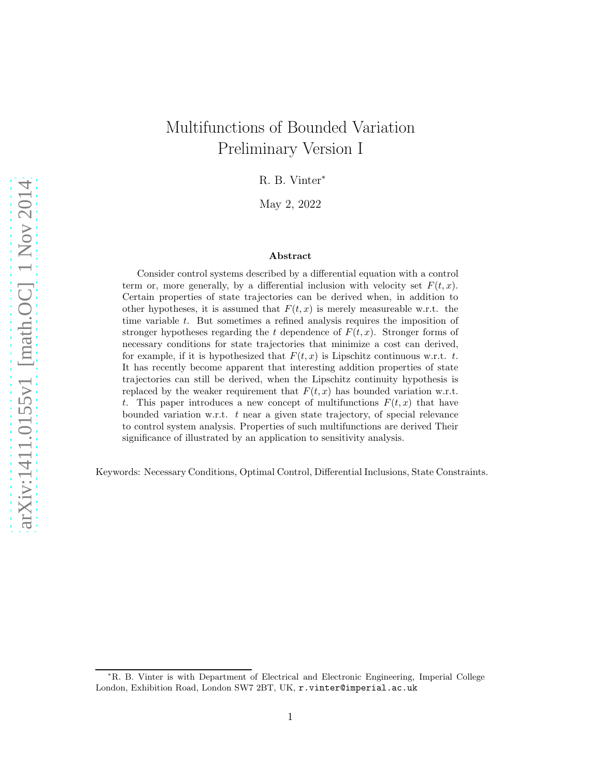# Multifunctions of Bounded Variation Preliminary Version I

R. B. Vinter<sup>∗</sup>

May 2, 2022

#### Abstract

Consider control systems described by a differential equation with a control term or, more generally, by a differential inclusion with velocity set  $F(t, x)$ . Certain properties of state trajectories can be derived when, in addition to other hypotheses, it is assumed that  $F(t, x)$  is merely measureable w.r.t. the time variable t. But sometimes a refined analysis requires the imposition of stronger hypotheses regarding the t dependence of  $F(t, x)$ . Stronger forms of necessary conditions for state trajectories that minimize a cost can derived, for example, if it is hypothesized that  $F(t, x)$  is Lipschitz continuous w.r.t. t. It has recently become apparent that interesting addition properties of state trajectories can still be derived, when the Lipschitz continuity hypothesis is replaced by the weaker requirement that  $F(t, x)$  has bounded variation w.r.t. t. This paper introduces a new concept of multifunctions  $F(t, x)$  that have bounded variation w.r.t. t near a given state trajectory, of special relevance to control system analysis. Properties of such multifunctions are derived Their significance of illustrated by an application to sensitivity analysis.

Keywords: Necessary Conditions, Optimal Control, Differential Inclusions, State Constraints.

<sup>∗</sup>R. B. Vinter is with Department of Electrical and Electronic Engineering, Imperial College London, Exhibition Road, London SW7 2BT, UK, r.vinter@imperial.ac.uk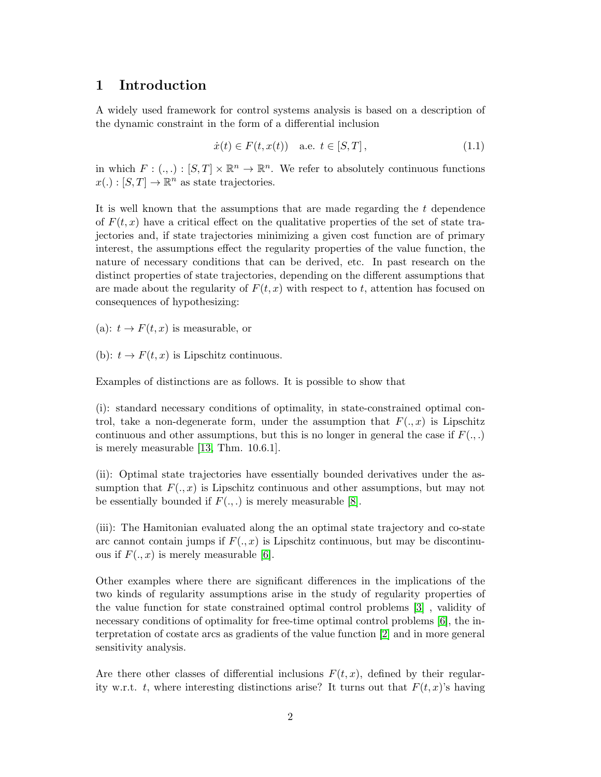#### 1 Introduction

A widely used framework for control systems analysis is based on a description of the dynamic constraint in the form of a differential inclusion

$$
\dot{x}(t) \in F(t, x(t)) \quad \text{a.e. } t \in [S, T], \tag{1.1}
$$

in which  $F: (., .): [S, T] \times \mathbb{R}^n \to \mathbb{R}^n$ . We refer to absolutely continuous functions  $x(.) : [S, T] \to \mathbb{R}^n$  as state trajectories.

It is well known that the assumptions that are made regarding the t dependence of  $F(t, x)$  have a critical effect on the qualitative properties of the set of state trajectories and, if state trajectories minimizing a given cost function are of primary interest, the assumptions effect the regularity properties of the value function, the nature of necessary conditions that can be derived, etc. In past research on the distinct properties of state trajectories, depending on the different assumptions that are made about the regularity of  $F(t, x)$  with respect to t, attention has focused on consequences of hypothesizing:

(a):  $t \to F(t, x)$  is measurable, or

(b):  $t \to F(t, x)$  is Lipschitz continuous.

Examples of distinctions are as follows. It is possible to show that

(i): standard necessary conditions of optimality, in state-constrained optimal control, take a non-degenerate form, under the assumption that  $F(.,x)$  is Lipschitz continuous and other assumptions, but this is no longer in general the case if  $F(.,.)$ is merely measurable [\[13,](#page-28-0) Thm. 10.6.1].

(ii): Optimal state trajectories have essentially bounded derivatives under the assumption that  $F(x, x)$  is Lipschitz continuous and other assumptions, but may not be essentially bounded if  $F(.,.)$  is merely measurable [\[8\]](#page-27-0).

(iii): The Hamitonian evaluated along the an optimal state trajectory and co-state arc cannot contain jumps if  $F(.,x)$  is Lipschitz continuous, but may be discontinuous if  $F(.,x)$  is merely measurable [\[6\]](#page-27-1).

Other examples where there are significant differences in the implications of the two kinds of regularity assumptions arise in the study of regularity properties of the value function for state constrained optimal control problems [\[3\]](#page-27-2) , validity of necessary conditions of optimality for free-time optimal control problems [\[6\]](#page-27-1), the interpretation of costate arcs as gradients of the value function [\[2\]](#page-27-3) and in more general sensitivity analysis.

Are there other classes of differential inclusions  $F(t, x)$ , defined by their regularity w.r.t. t, where interesting distinctions arise? It turns out that  $F(t, x)$ 's having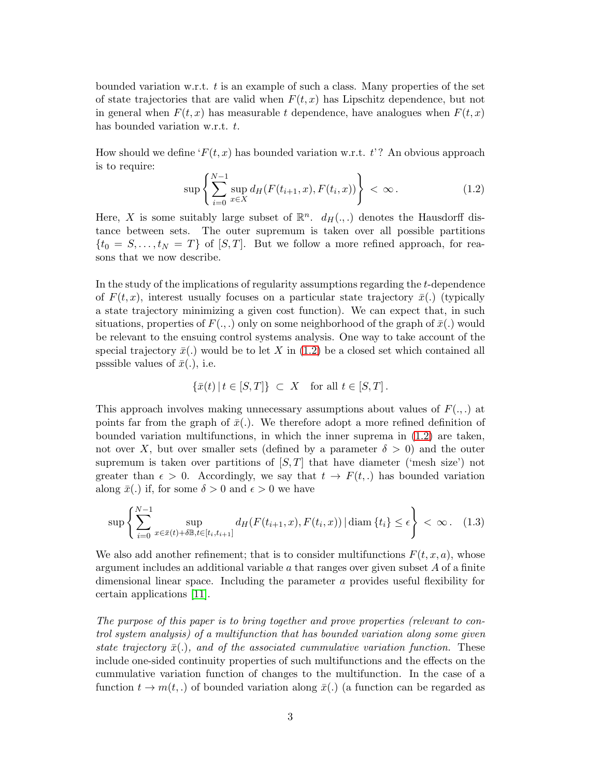bounded variation w.r.t.  $t$  is an example of such a class. Many properties of the set of state trajectories that are valid when  $F(t, x)$  has Lipschitz dependence, but not in general when  $F(t, x)$  has measurable t dependence, have analogues when  $F(t, x)$ has bounded variation w.r.t. t.

How should we define  $F(t, x)$  has bounded variation w.r.t.  $t$ ? An obvious approach is to require:

<span id="page-2-0"></span>
$$
\sup \left\{ \sum_{i=0}^{N-1} \sup_{x \in X} d_H(F(t_{i+1}, x), F(t_i, x)) \right\} < \infty. \tag{1.2}
$$

Here, X is some suitably large subset of  $\mathbb{R}^n$ .  $d_H(.,.)$  denotes the Hausdorff distance between sets. The outer supremum is taken over all possible partitions  $\{t_0 = S, \ldots, t_N = T\}$  of  $[S, T]$ . But we follow a more refined approach, for reasons that we now describe.

In the study of the implications of regularity assumptions regarding the t-dependence of  $F(t, x)$ , interest usually focuses on a particular state trajectory  $\bar{x}$ .) (typically a state trajectory minimizing a given cost function). We can expect that, in such situations, properties of  $F(.,.)$  only on some neighborhood of the graph of  $\bar{x}(.)$  would be relevant to the ensuing control systems analysis. One way to take account of the special trajectory  $\bar{x}$ . would be to let X in [\(1.2\)](#page-2-0) be a closed set which contained all psssible values of  $\bar{x}(.)$ , i.e.

$$
\{\bar{x}(t) | t \in [S,T] \} \subset X \quad \text{for all } t \in [S,T].
$$

This approach involves making unnecessary assumptions about values of  $F(.,.)$  at points far from the graph of  $\bar{x}$ ... We therefore adopt a more refined definition of bounded variation multifunctions, in which the inner suprema in [\(1.2\)](#page-2-0) are taken, not over X, but over smaller sets (defined by a parameter  $\delta > 0$ ) and the outer supremum is taken over partitions of  $[S, T]$  that have diameter ('mesh size') not greater than  $\epsilon > 0$ . Accordingly, we say that  $t \to F(t,.)$  has bounded variation along  $\bar{x}$ (.) if, for some  $\delta > 0$  and  $\epsilon > 0$  we have

$$
\sup \left\{ \sum_{i=0}^{N-1} \sup_{x \in \bar{x}(t) + \delta \mathbb{B}, t \in [t_i, t_{i+1}]} d_H(F(t_{i+1}, x), F(t_i, x)) | \operatorname{diam}\{t_i\} \le \epsilon \right\} < \infty. \quad (1.3)
$$

We also add another refinement; that is to consider multifunctions  $F(t, x, a)$ , whose argument includes an additional variable a that ranges over given subset  $A$  of a finite dimensional linear space. Including the parameter a provides useful flexibility for certain applications [\[11\]](#page-27-4).

The purpose of this paper is to bring together and prove properties (relevant to control system analysis) of a multifunction that has bounded variation along some given state trajectory  $\bar{x}(.)$ , and of the associated cummulative variation function. These include one-sided continuity properties of such multifunctions and the effects on the cummulative variation function of changes to the multifunction. In the case of a function  $t \to m(t,.)$  of bounded variation along  $\bar{x}$ .) (a function can be regarded as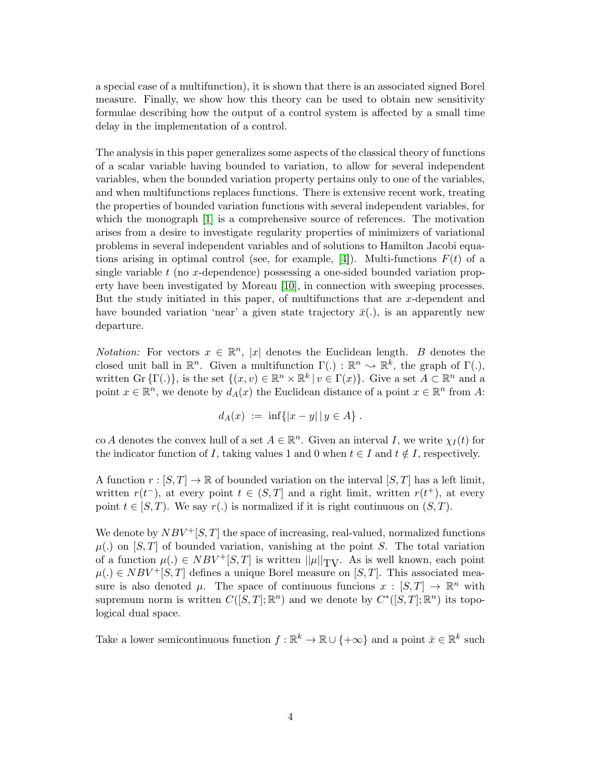a special case of a multifunction), it is shown that there is an associated signed Borel measure. Finally, we show how this theory can be used to obtain new sensitivity formulae describing how the output of a control system is affected by a small time delay in the implementation of a control.

The analysis in this paper generalizes some aspects of the classical theory of functions of a scalar variable having bounded to variation, to allow for several independent variables, when the bounded variation property pertains only to one of the variables, and when multifunctions replaces functions. There is extensive recent work, treating the properties of bounded variation functions with several independent variables, for which the monograph [\[1\]](#page-27-5) is a comprehensive source of references. The motivation arises from a desire to investigate regularity properties of minimizers of variational problems in several independent variables and of solutions to Hamilton Jacobi equa-tions arising in optimal control (see, for example, [\[4\]](#page-27-6)). Multi-functions  $F(t)$  of a single variable  $t$  (no x-dependence) possessing a one-sided bounded variation property have been investigated by Moreau [\[10\]](#page-27-7), in connection with sweeping processes. But the study initiated in this paper, of multifunctions that are  $x$ -dependent and have bounded variation 'near' a given state trajectory  $\bar{x}$ (.), is an apparently new departure.

*Notation:* For vectors  $x \in \mathbb{R}^n$ , |x| denotes the Euclidean length. B denotes the closed unit ball in  $\mathbb{R}^n$ . Given a multifunction  $\Gamma(.) : \mathbb{R}^n \to \mathbb{R}^k$ , the graph of  $\Gamma(.)$ , written Gr  $\{\Gamma(.)\}$ , is the set  $\{(x, v) \in \mathbb{R}^n \times \mathbb{R}^k \mid v \in \Gamma(x)\}$ . Give a set  $A \subset \mathbb{R}^n$  and a point  $x \in \mathbb{R}^n$ , we denote by  $d_A(x)$  the Euclidean distance of a point  $x \in \mathbb{R}^n$  from A:

$$
d_A(x) := \inf\{|x - y| | y \in A\}.
$$

co A denotes the convex hull of a set  $A \in \mathbb{R}^n$ . Given an interval I, we write  $\chi_I(t)$  for the indicator function of I, taking values 1 and 0 when  $t \in I$  and  $t \notin I$ , respectively.

A function  $r : [S, T] \to \mathbb{R}$  of bounded variation on the interval  $[S, T]$  has a left limit, written  $r(t^{-})$ , at every point  $t \in (S,T]$  and a right limit, written  $r(t^{+})$ , at every point  $t \in [S, T)$ . We say  $r(.)$  is normalized if it is right continuous on  $(S, T)$ .

We denote by  $NBV^{+}[S,T]$  the space of increasing, real-valued, normalized functions  $\mu(.)$  on [S, T] of bounded variation, vanishing at the point S. The total variation of a function  $\mu(.) \in NBV^+[S,T]$  is written  $||\mu||_{TV}$ . As is well known, each point  $\mu(.) \in NBV^+[S,T]$  defines a unique Borel measure on  $[S,T]$ . This associated measure is also denoted  $\mu$ . The space of continuous funcions  $x : [S,T] \to \mathbb{R}^n$  with supremum norm is written  $C([S,T];\mathbb{R}^n)$  and we denote by  $C^*([S,T];\mathbb{R}^n)$  its topological dual space.

Take a lower semicontinuous function  $f : \mathbb{R}^k \to \mathbb{R} \cup \{+\infty\}$  and a point  $\bar{x} \in \mathbb{R}^k$  such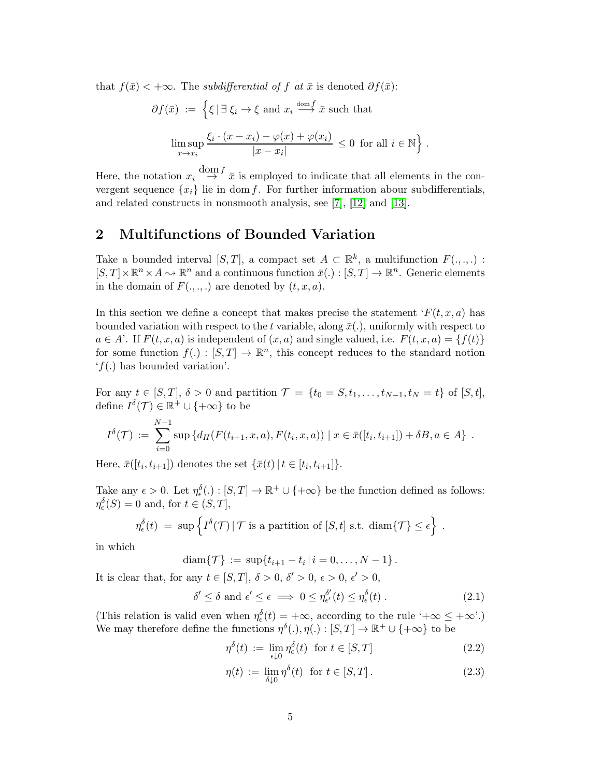that  $f(\bar{x}) < +\infty$ . The *subdifferential of f at*  $\bar{x}$  is denoted  $\partial f(\bar{x})$ :

$$
\partial f(\bar{x}) := \left\{ \xi \mid \exists \xi_i \to \xi \text{ and } x_i \stackrel{\text{dom } f}{\longrightarrow} \bar{x} \text{ such that} \right\}
$$

$$
\limsup_{x \to x_i} \frac{\xi_i \cdot (x - x_i) - \varphi(x) + \varphi(x_i)}{|x - x_i|} \le 0 \text{ for all } i \in \mathbb{N} \right\}.
$$

Here, the notation  $x_i \stackrel{\text{dom } f}{\rightarrow} \bar{x}$  is employed to indicate that all elements in the convergent sequence  $\{x_i\}$  lie in dom f. For further information abour subdifferentials, and related constructs in nonsmooth analysis, see [\[7\]](#page-27-8), [\[12\]](#page-28-1) and [\[13\]](#page-28-0).

#### 2 Multifunctions of Bounded Variation

Take a bounded interval  $[S, T]$ , a compact set  $A \subset \mathbb{R}^k$ , a multifunction  $F(., ., .)$ :  $[S,T] \times \mathbb{R}^n \times A \longrightarrow \mathbb{R}^n$  and a continuous function  $\bar{x}(.): [S,T] \rightarrow \mathbb{R}^n$ . Generic elements in the domain of  $F(.,.,.)$  are denoted by  $(t, x, a)$ .

In this section we define a concept that makes precise the statement  $F(t, x, a)$  has bounded variation with respect to the t variable, along  $\bar{x}$ ., uniformly with respect to  $a \in A'$ . If  $F(t, x, a)$  is independent of  $(x, a)$  and single valued, i.e.  $F(t, x, a) = \{f(t)\}\$ for some function  $f(.) : [S, T] \to \mathbb{R}^n$ , this concept reduces to the standard notion  $'f(.)$  has bounded variation'.

For any  $t \in [S, T], \delta > 0$  and partition  $\mathcal{T} = \{t_0 = S, t_1, \ldots, t_{N-1}, t_N = t\}$  of  $[S, t],$ define  $I^{\delta}(\mathcal{T}) \in \mathbb{R}^+ \cup \{+\infty\}$  to be

$$
I^{\delta}(\mathcal{T}) := \sum_{i=0}^{N-1} \sup \{ d_H(F(t_{i+1}, x, a), F(t_i, x, a)) \mid x \in \bar{x}([t_i, t_{i+1}]) + \delta B, a \in A \} .
$$

Here,  $\bar{x}([t_i, t_{i+1}])$  denotes the set  $\{\bar{x}(t) | t \in [t_i, t_{i+1}]\}.$ 

Take any  $\epsilon > 0$ . Let  $\eta_{\epsilon}^{\delta}(\cdot) : [S, T] \to \mathbb{R}^+ \cup \{+\infty\}$  be the function defined as follows:  $\eta_{\epsilon}^{\delta}(S) = 0$  and, for  $t \in (S, T],$ 

$$
\eta_{\epsilon}^{\delta}(t) \;=\; \sup\left\{ I^{\delta}(\mathcal{T}) \,|\, \mathcal{T} \text{ is a partition of } [S,t] \text{ s.t. } \text{diam}\{\mathcal{T}\} \leq \epsilon \right\} \;.
$$

in which

diam $\{\mathcal{T}\} := \sup\{t_{i+1} - t_i \,|\, i = 0, \ldots, N-1\}$ .

It is clear that, for any  $t \in [S, T]$ ,  $\delta > 0$ ,  $\delta' > 0$ ,  $\epsilon > 0$ ,  $\epsilon' > 0$ ,

<span id="page-4-1"></span>
$$
\delta' \le \delta \text{ and } \epsilon' \le \epsilon \implies 0 \le \eta_{\epsilon'}^{\delta'}(t) \le \eta_{\epsilon}^{\delta}(t) . \tag{2.1}
$$

(This relation is valid even when  $\eta_{\epsilon}^{\delta}(t) = +\infty$ , according to the rule ' $+\infty \leq +\infty$ '.) We may therefore define the functions  $\eta^{\delta}(.)$ ,  $\eta(.) : [S, T] \to \mathbb{R}^+ \cup \{+\infty\}$  to be

<span id="page-4-0"></span>
$$
\eta^{\delta}(t) := \lim_{\epsilon \downarrow 0} \eta_{\epsilon}^{\delta}(t) \text{ for } t \in [S, T]
$$
\n(2.2)

$$
\eta(t) := \lim_{\delta \downarrow 0} \eta^{\delta}(t) \text{ for } t \in [S, T]. \tag{2.3}
$$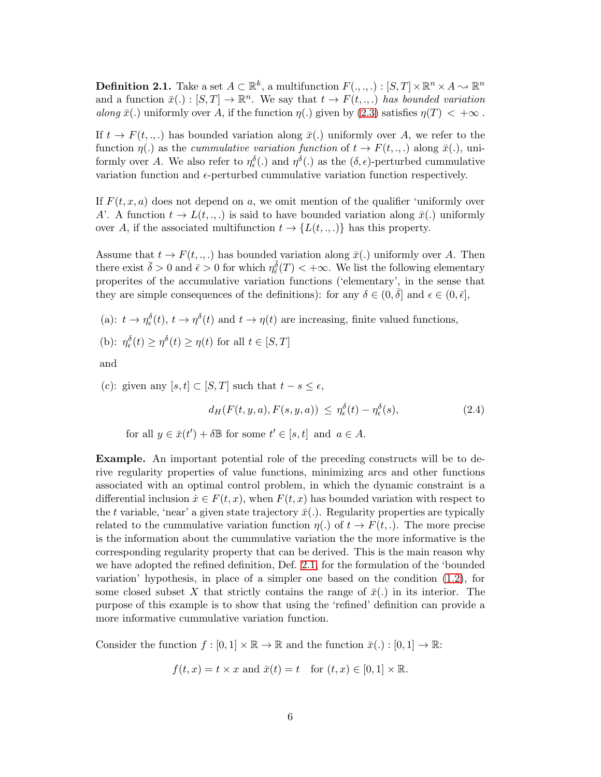<span id="page-5-0"></span>**Definition 2.1.** Take a set  $A \subset \mathbb{R}^k$ , a multifunction  $F(., ., .): [S, T] \times \mathbb{R}^n \times A \rightarrow \mathbb{R}^n$ and a function  $\bar{x}(.) : [S, T] \to \mathbb{R}^n$ . We say that  $t \to F(t, ...)$  has bounded variation along  $\bar{x}$ (.) uniformly over A, if the function  $\eta(.)$  given by [\(2.3\)](#page-4-0) satisfies  $\eta(T) < +\infty$ .

If  $t \to F(t, \ldots)$  has bounded variation along  $\bar{x}$ . uniformly over A, we refer to the function  $\eta(.)$  as the *cummulative variation function* of  $t \to F(t, ...)$  along  $\bar{x}(.)$ , uniformly over A. We also refer to  $\eta_{\epsilon}^{\delta}(\cdot)$  and  $\eta^{\delta}(\cdot)$  as the  $(\delta, \epsilon)$ -perturbed cummulative variation function and  $\epsilon$ -perturbed cummulative variation function respectively.

If  $F(t, x, a)$  does not depend on a, we omit mention of the qualifier 'uniformly over A'. A function  $t \to L(t, \ldots)$  is said to have bounded variation along  $\bar{x}$ . uniformly over A, if the associated multifunction  $t \to \{L(t, \ldots)\}\)$  has this property.

Assume that  $t \to F(t, \ldots)$  has bounded variation along  $\bar{x}(\cdot)$  uniformly over A. Then there exist  $\bar{\delta} > 0$  and  $\bar{\epsilon} > 0$  for which  $\eta_{\bar{\epsilon}}^{\bar{\delta}}(T) < +\infty$ . We list the following elementary properites of the accumulative variation functions ('elementary', in the sense that they are simple consequences of the definitions): for any  $\delta \in (0, \bar{\delta}]$  and  $\epsilon \in (0, \bar{\epsilon}],$ 

(a):  $t \to \eta_{\epsilon}^{\delta}(t), t \to \eta^{\delta}(t)$  and  $t \to \eta(t)$  are increasing, finite valued functions,

(b): 
$$
\eta_{\epsilon}^{\delta}(t) \ge \eta^{\delta}(t) \ge \eta(t)
$$
 for all  $t \in [S, T]$ 

and

(c): given any  $[s, t] \subset [S, T]$  such that  $t - s \leq \epsilon$ ,  $d_H(F(t,y,a), F(s,y,a)) \ \leq \ \eta^\delta_\epsilon(t) - \eta^\delta_\epsilon$  $(2.4)$ 

<span id="page-5-1"></span>for all 
$$
y \in \bar{x}(t') + \delta \mathbb{B}
$$
 for some  $t' \in [s, t]$  and  $a \in A$ .

Example. An important potential role of the preceding constructs will be to derive regularity properties of value functions, minimizing arcs and other functions associated with an optimal control problem, in which the dynamic constraint is a differential inclusion  $\dot{x} \in F(t, x)$ , when  $F(t, x)$  has bounded variation with respect to the t variable, 'near' a given state trajectory  $\bar{x}$ . Regularity properties are typically related to the cummulative variation function  $\eta(.)$  of  $t \to F(t,.)$ . The more precise is the information about the cummulative variation the the more informative is the corresponding regularity property that can be derived. This is the main reason why we have adopted the refined definition, Def. [2.1,](#page-5-0) for the formulation of the 'bounded variation' hypothesis, in place of a simpler one based on the condition [\(1.2\)](#page-2-0), for some closed subset X that strictly contains the range of  $\bar{x}$ (.) in its interior. The purpose of this example is to show that using the 'refined' definition can provide a more informative cummulative variation function.

Consider the function  $f : [0,1] \times \mathbb{R} \to \mathbb{R}$  and the function  $\bar{x}(.): [0,1] \to \mathbb{R}$ :

$$
f(t, x) = t \times x
$$
 and  $\bar{x}(t) = t$  for  $(t, x) \in [0, 1] \times \mathbb{R}$ .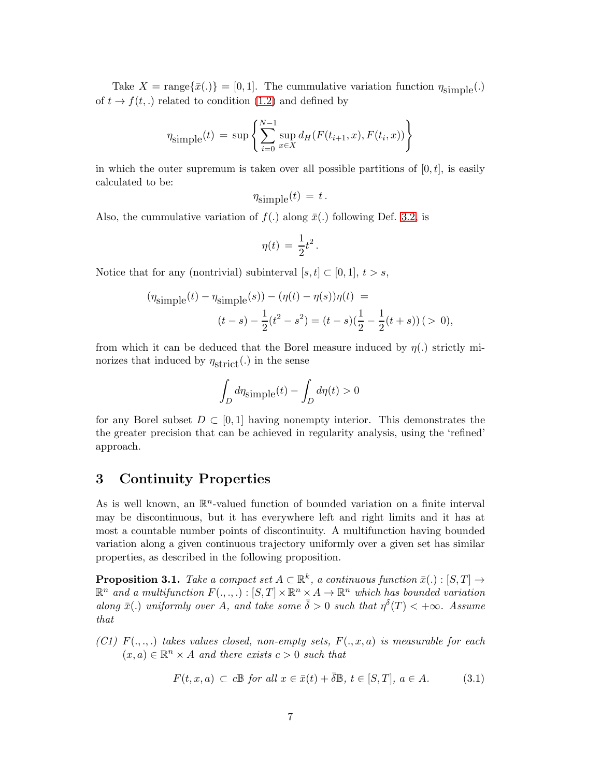Take  $X = \text{range}\{\bar{x}(.)\} = [0, 1]$ . The cummulative variation function  $\eta_{\text{simple}}(.)$ of  $t \to f(t,.)$  related to condition [\(1.2\)](#page-2-0) and defined by

$$
\eta_{\text{simple}}(t) = \sup \left\{ \sum_{i=0}^{N-1} \sup_{x \in X} d_H(F(t_{i+1}, x), F(t_i, x)) \right\}
$$

in which the outer supremum is taken over all possible partitions of  $[0, t]$ , is easily calculated to be:

$$
\eta_{\text{simple}}(t) = t.
$$

Also, the cummulative variation of  $f(.)$  along  $\bar{x}(.)$  following Def. [3.2,](#page-8-0) is

$$
\eta(t) = \frac{1}{2}t^2.
$$

Notice that for any (nontrivial) subinterval  $[s, t] \subset [0, 1], t > s$ ,

$$
(\eta_{\text{simple}}(t) - \eta_{\text{simple}}(s)) - (\eta(t) - \eta(s))\eta(t) =
$$

$$
(t - s) - \frac{1}{2}(t^2 - s^2) = (t - s)\left(\frac{1}{2} - \frac{1}{2}(t + s)\right) (> 0),
$$

from which it can be deduced that the Borel measure induced by  $\eta(.)$  strictly minorizes that induced by  $\eta_{\text{strict}}(.)$  in the sense

$$
\int_D d\eta_{\text{simple}}(t) - \int_D d\eta(t) > 0
$$

for any Borel subset  $D \subset [0, 1]$  having nonempty interior. This demonstrates the the greater precision that can be achieved in regularity analysis, using the 'refined' approach.

#### 3 Continuity Properties

As is well known, an  $\mathbb{R}^n$ -valued function of bounded variation on a finite interval may be discontinuous, but it has everywhere left and right limits and it has at most a countable number points of discontinuity. A multifunction having bounded variation along a given continuous trajectory uniformly over a given set has similar properties, as described in the following proposition.

<span id="page-6-0"></span>**Proposition 3.1.** Take a compact set  $A \subset \mathbb{R}^k$ , a continuous function  $\bar{x}(.) : [S, T] \to$  $\mathbb{R}^n$  and a multifunction  $F(.,.,.): [S,T] \times \mathbb{R}^n \times A \to \mathbb{R}^n$  which has bounded variation along  $\bar{x}$ (.) uniformly over A, and take some  $\bar{\delta} > 0$  such that  $\eta^{\bar{\delta}}(T) < +\infty$ . Assume that

(C1)  $F(\ldots)$  takes values closed, non-empty sets,  $F(\ldots, a)$  is measurable for each  $(x, a) \in \mathbb{R}^n \times A$  and there exists  $c > 0$  such that

$$
F(t, x, a) \subset c\mathbb{B} \text{ for all } x \in \bar{x}(t) + \bar{\delta}\mathbb{B}, t \in [S, T], a \in A. \tag{3.1}
$$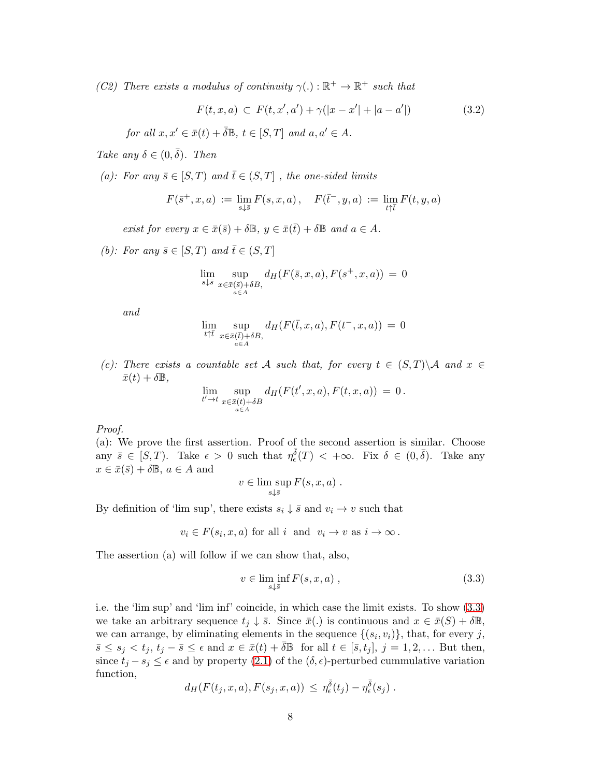(C2) There exists a modulus of continuity  $\gamma(.) : \mathbb{R}^+ \to \mathbb{R}^+$  such that

$$
F(t, x, a) \subset F(t, x', a') + \gamma(|x - x'| + |a - a'|)
$$
\n(3.2)

for all  $x, x' \in \bar{x}(t) + \bar{\delta} \mathbb{B}$ ,  $t \in [S, T]$  and  $a, a' \in A$ .

Take any  $\delta \in (0, \bar{\delta})$ . Then

(a): For any  $\bar{s} \in [S, T)$  and  $\bar{t} \in (S, T]$ , the one-sided limits

$$
F(\bar{s}^+, x, a) := \lim_{s \downarrow \bar{s}} F(s, x, a), \quad F(\bar{t}^-, y, a) := \lim_{t \uparrow \bar{t}} F(t, y, a)
$$

exist for every  $x \in \bar{x}(\bar{s}) + \delta \mathbb{B}$ ,  $y \in \bar{x}(\bar{t}) + \delta \mathbb{B}$  and  $a \in A$ .

(b): For any  $\bar{s} \in [S, T]$  and  $\bar{t} \in (S, T]$ 

$$
\lim_{s\downarrow \overline{s}} \sup_{\substack{x \in \overline{x}(\overline{s}) + \delta B, \\ a \in A}} d_H(F(\overline{s}, x, a), F(s^+, x, a)) = 0
$$

and

$$
\lim_{t \uparrow \bar{t}} \sup_{x \in \bar{x}(\bar{t}) + \delta B, \atop a \in A} d_H(F(\bar{t}, x, a), F(t^-, x, a)) = 0
$$

(c): There exists a countable set A such that, for every  $t \in (S,T) \backslash \mathcal{A}$  and  $x \in$  $\bar{x}(t) + \delta \mathbb{B},$ 

$$
\lim_{t' \to t} \sup_{\substack{x \in \bar{x}(t) + \delta B \\ a \in A}} d_H(F(t', x, a), F(t, x, a)) = 0.
$$

Proof.

(a): We prove the first assertion. Proof of the second assertion is similar. Choose any  $\bar{s} \in [S, T)$ . Take  $\epsilon > 0$  such that  $\eta_{\epsilon}^{\bar{\delta}}(T) < +\infty$ . Fix  $\delta \in (0, \bar{\delta})$ . Take any  $x \in \bar{x}(\bar{s}) + \delta \mathbb{B}, a \in A$  and

$$
v \in \limsup_{s \downarrow \bar{s}} F(s, x, a) .
$$

By definition of 'lim sup', there exists  $s_i \downarrow \overline{s}$  and  $v_i \rightarrow v$  such that

$$
v_i \in F(s_i, x, a)
$$
 for all  $i$  and  $v_i \to v$  as  $i \to \infty$ .

The assertion (a) will follow if we can show that, also,

<span id="page-7-0"></span>
$$
v \in \liminf_{s \downarrow \overline{s}} F(s, x, a) , \qquad (3.3)
$$

i.e. the 'lim sup' and 'lim inf' coincide, in which case the limit exists. To show [\(3.3\)](#page-7-0) we take an arbitrary sequence  $t_j \downarrow \overline{s}$ . Since  $\overline{x}(.)$  is continuous and  $x \in \overline{x}(S) + \delta \mathbb{B}$ , we can arrange, by eliminating elements in the sequence  $\{(s_i, v_i)\}\$ , that, for every j,  $\overline{s} \leq s_j < t_j, t_j - \overline{s} \leq \epsilon \text{ and } x \in \overline{x}(t) + \delta \mathbb{B}$  for all  $t \in [\overline{s}, t_j], j = 1, 2, \dots$  But then, since  $t_j - s_j \leq \epsilon$  and by property [\(2.1\)](#page-4-1) of the  $(\delta, \epsilon)$ -perturbed cummulative variation function,  $\overline{a}$  $\overline{a}$ 

$$
d_H(F(t_j,x,a), F(s_j,x,a)) \leq \eta_{\epsilon}^{\delta}(t_j) - \eta_{\epsilon}^{\delta}(s_j) .
$$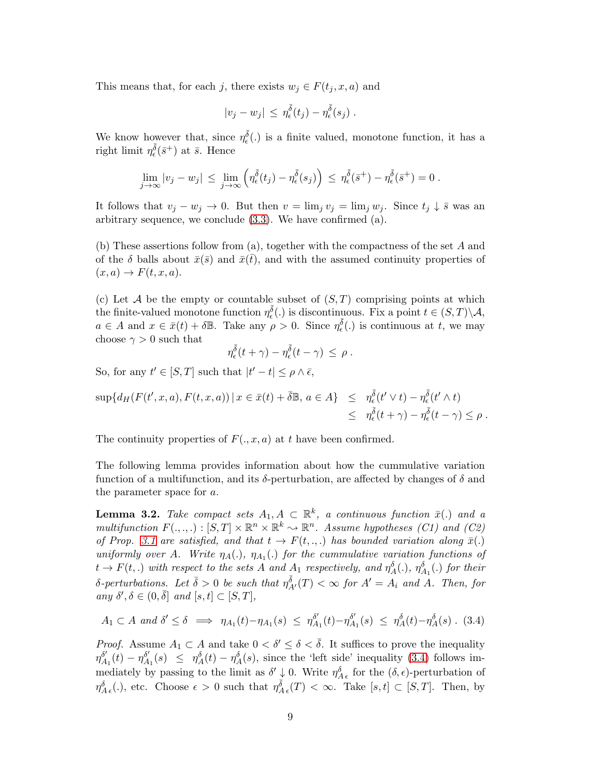This means that, for each j, there exists  $w_i \in F(t_i, x, a)$  and

$$
|v_j - w_j| \, \leq \, \eta_{\epsilon}^{\bar{\delta}}(t_j) - \eta_{\epsilon}^{\bar{\delta}}(s_j) \; .
$$

We know however that, since  $\eta_{\epsilon}^{\bar{\delta}}(.)$  is a finite valued, monotone function, it has a right limit  $\eta_{\epsilon}^{\bar{\delta}}(\bar{s}^+)$  at  $\bar{s}$ . Hence

$$
\lim_{j\to\infty}|v_j-w_j|\,\leq\,\lim_{j\to\infty}\left(\eta^{\overline{\delta}}_{\epsilon}(t_j)-\eta^{\overline{\delta}}_{\epsilon}(s_j)\right)\,\leq\,\eta^{\overline{\delta}}_{\epsilon}(\overline{s}^+)-\eta^{\overline{\delta}}_{\epsilon}(\overline{s}^+)=0\;.
$$

It follows that  $v_j - w_j \to 0$ . But then  $v = \lim_j v_j = \lim_j w_j$ . Since  $t_j \downarrow \overline{s}$  was an arbitrary sequence, we conclude [\(3.3\)](#page-7-0). We have confirmed (a).

(b) These assertions follow from (a), together with the compactness of the set A and of the  $\delta$  balls about  $\bar{x}(\bar{s})$  and  $\bar{x}(\bar{t})$ , and with the assumed continuity properties of  $(x, a) \rightarrow F(t, x, a).$ 

(c) Let A be the empty or countable subset of  $(S, T)$  comprising points at which the finite-valued monotone function  $\eta_{\epsilon}^{\bar{\delta}}(.)$  is discontinuous. Fix a point  $t \in (S,T) \backslash \mathcal{A}$ ,  $a \in A$  and  $x \in \bar{x}(t) + \delta \mathbb{B}$ . Take any  $\rho > 0$ . Since  $\eta_{\epsilon}^{\bar{\delta}}(.)$  is continuous at t, we may choose  $\gamma > 0$  such that

$$
\eta_{\epsilon}^{\overline{\delta}}(t+\gamma)-\eta_{\epsilon}^{\overline{\delta}}(t-\gamma)\,\leq\,\rho\;.
$$

So, for any  $t' \in [S, T]$  such that  $|t' - t| \le \rho \wedge \bar{\epsilon}$ ,

$$
\sup \{ d_H(F(t',x,a), F(t,x,a)) \mid x \in \bar{x}(t) + \bar{\delta} \mathbb{B}, a \in A \} \leq \eta_{\epsilon}^{\bar{\delta}}(t' \vee t) - \eta_{\epsilon}^{\bar{\delta}}(t' \wedge t) \leq \eta_{\epsilon}^{\bar{\delta}}(t + \gamma) - \eta_{\epsilon}^{\bar{\delta}}(t - \gamma) \leq \rho.
$$

The continuity properties of  $F(., x, a)$  at t have been confirmed.

The following lemma provides information about how the cummulative variation function of a multifunction, and its  $\delta$ -perturbation, are affected by changes of  $\delta$  and the parameter space for a.

<span id="page-8-0"></span>**Lemma 3.2.** Take compact sets  $A_1, A \subset \mathbb{R}^k$ , a continuous function  $\bar{x}$ . and a multifunction  $F(.,.,.): [S,T] \times \mathbb{R}^n \times \mathbb{R}^k \to \mathbb{R}^n$ . Assume hypotheses (C1) and (C2) of Prop. [3.1](#page-6-0) are satisfied, and that  $t \to F(t, \ldots)$  has bounded variation along  $\bar{x}(\cdot)$ uniformly over A. Write  $\eta_A(.)$ ,  $\eta_{A_1}(.)$  for the cummulative variation functions of  $t \to F(t,.)$  with respect to the sets A and A<sub>1</sub> respectively, and  $\eta_A^{\delta}(.)$ ,  $\eta_{A_1}^{\delta}(.)$  for their  $\delta$ -perturbations. Let  $\bar{\delta} > 0$  be such that  $\eta_{A'}^{\bar{\delta}}(T) < \infty$  for  $A' = A_i$  and  $A$ . Then, for any  $\delta', \delta \in (0, \bar{\delta}]$  and  $[s, t] \subset [S, T],$ 

<span id="page-8-1"></span>
$$
A_1 \subset A \text{ and } \delta' \leq \delta \implies \eta_{A_1}(t) - \eta_{A_1}(s) \leq \eta_{A_1}^{\delta'}(t) - \eta_{A_1}^{\delta'}(s) \leq \eta_A^{\delta}(t) - \eta_A^{\delta}(s) \tag{3.4}
$$

*Proof.* Assume  $A_1 \subset A$  and take  $0 < \delta' \leq \delta < \overline{\delta}$ . It suffices to prove the inequality  $\eta_A^{\delta'}$  $\frac{\delta'}{A_1}(t) - \eta_A^{\delta'}$  $\delta'_{A_1}(s) \leq \eta_A^{\delta}(t) - \eta_A^{\delta}(s)$ , since the 'left side' inequality [\(3.4\)](#page-8-1) follows immediately by passing to the limit as  $\delta' \downarrow 0$ . Write  $\eta_{A\epsilon}^{\delta}$  for the  $(\delta, \epsilon)$ -perturbation of  $\eta_{A\epsilon}^{\delta}(.),$  etc. Choose  $\epsilon > 0$  such that  $\eta_{A\epsilon}^{\bar{\delta}}(T) < \infty$ . Take  $[s, t] \subset [S, T]$ . Then, by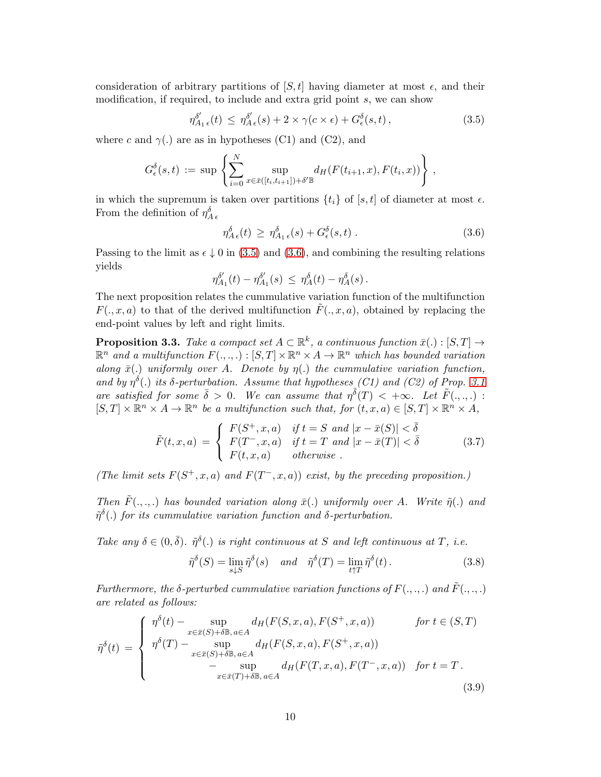consideration of arbitrary partitions of  $[S, t]$  having diameter at most  $\epsilon$ , and their modification, if required, to include and extra grid point  $s$ , we can show

<span id="page-9-0"></span>
$$
\eta_{A_1 \epsilon}^{\delta'}(t) \leq \eta_{A \epsilon}^{\delta'}(s) + 2 \times \gamma(c \times \epsilon) + G_{\epsilon}^{\delta}(s, t), \qquad (3.5)
$$

where c and  $\gamma$ (.) are as in hypotheses (C1) and (C2), and

$$
G_{\epsilon}^{\delta}(s,t) := \sup \left\{ \sum_{i=0}^{N} \sup_{x \in \bar{x}([t_i,t_{i+1}]) + \delta' \mathbb{B}} d_H(F(t_{i+1},x),F(t_i,x)) \right\},\,
$$

in which the supremum is taken over partitions  $\{t_i\}$  of  $[s, t]$  of diameter at most  $\epsilon$ . From the definition of  $\eta_{A\,\epsilon}^{\delta}$ 

<span id="page-9-1"></span>
$$
\eta_{A\epsilon}^{\delta}(t) \geq \eta_{A_1\epsilon}^{\delta}(s) + G_{\epsilon}^{\delta}(s,t) \tag{3.6}
$$

Passing to the limit as  $\epsilon \downarrow 0$  in [\(3.5\)](#page-9-0) and [\(3.6\)](#page-9-1), and combining the resulting relations yields

$$
\eta^{\delta'}_{A_1}(t) - \eta^{\delta'}_{A_1}(s) \ \leq \ \eta^\delta_A(t) - \eta^\delta_A(s) \, .
$$

The next proposition relates the cummulative variation function of the multifunction  $F(.,x,a)$  to that of the derived multifunction  $F(.,x,a)$ , obtained by replacing the end-point values by left and right limits.

<span id="page-9-4"></span>**Proposition 3.3.** Take a compact set  $A \subset \mathbb{R}^k$ , a continuous function  $\bar{x}(.) : [S, T] \to$  $\mathbb{R}^n$  and a multifunction  $F(.,.,.): [S,T] \times \mathbb{R}^n \times A \to \mathbb{R}^n$  which has bounded variation along  $\bar{x}$ (.) uniformly over A. Denote by  $\eta$ (.) the cummulative variation function, and by  $\eta^{\delta}$ .) its  $\delta$ -perturbation. Assume that hypotheses (C1) and (C2) of Prop. [3.1](#page-6-0) are satisfied for some  $\bar{\delta} > 0$ . We can assume that  $\eta^{\bar{\delta}}(T) < +\infty$ . Let  $\tilde{F}(\cdot, \cdot, \cdot)$ :  $[S,T] \times \mathbb{R}^n \times A \to \mathbb{R}^n$  be a multifunction such that, for  $(t, x, a) \in [S,T] \times \mathbb{R}^n \times A$ ,

$$
\tilde{F}(t,x,a) = \begin{cases}\nF(S^+,x,a) & \text{if } t = S \text{ and } |x - \bar{x}(S)| < \bar{\delta} \\
F(T^-,x,a) & \text{if } t = T \text{ and } |x - \bar{x}(T)| < \bar{\delta} \\
F(t,x,a) & \text{otherwise}\n\end{cases} \tag{3.7}
$$

(The limit sets  $F(S^+, x, a)$  and  $F(T^-, x, a)$ ) exist, by the preceding proposition.)

Then  $\tilde{F}(\cdot,\cdot,\cdot)$  has bounded variation along  $\bar{x}(\cdot)$  uniformly over A. Write  $\tilde{\eta}(\cdot)$  and  $\tilde{\eta}^{\delta}$ (.) for its cummulative variation function and  $\delta$ -perturbation.

Take any  $\delta \in (0, \bar{\delta})$ .  $\tilde{\eta}^{\delta}(.)$  is right continuous at S and left continuous at T, i.e.

<span id="page-9-3"></span>
$$
\tilde{\eta}^{\delta}(S) = \lim_{s \downarrow S} \tilde{\eta}^{\delta}(s) \quad \text{and} \quad \tilde{\eta}^{\delta}(T) = \lim_{t \uparrow T} \tilde{\eta}^{\delta}(t). \tag{3.8}
$$

Furthermore, the  $\delta$ -perturbed cummulative variation functions of  $F(\ldots, \ldots)$  and  $\tilde{F}(\ldots, \ldots)$ are related as follows:

<span id="page-9-2"></span>
$$
\tilde{\eta}^{\delta}(t) = \begin{cases}\n\eta^{\delta}(t) - \sup_{x \in \bar{x}(S) + \delta \mathbb{B}, a \in A} d_H(F(S, x, a), F(S^+, x, a)) & \text{for } t \in (S, T) \\
\eta^{\delta}(T) - \sup_{x \in \bar{x}(S) + \delta \mathbb{B}, a \in A} d_H(F(S, x, a), F(S^+, x, a)) & \text{for } t = T. \\
-\sup_{x \in \bar{x}(T) + \delta \mathbb{B}, a \in A} d_H(F(T, x, a), F(T^-, x, a)) & \text{for } t = T.\n\end{cases}
$$
\n(3.9)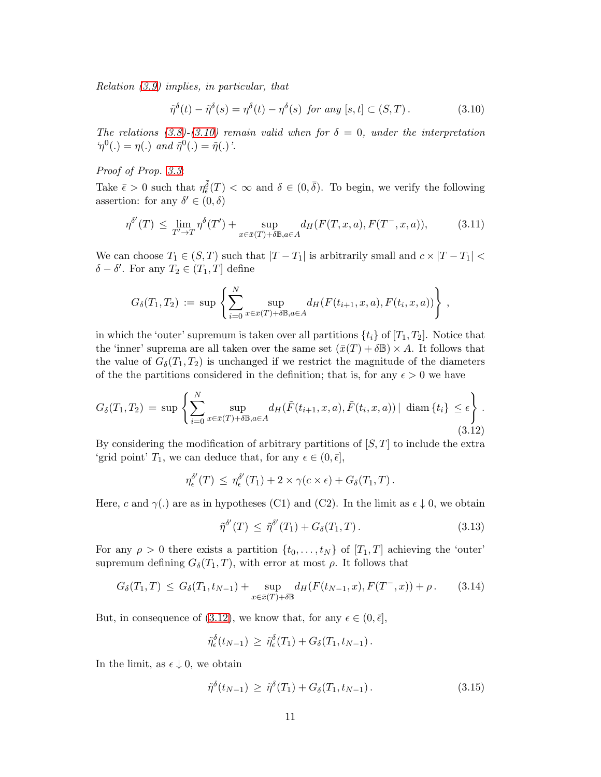Relation [\(3.9\)](#page-9-2) implies, in particular, that

<span id="page-10-0"></span>
$$
\tilde{\eta}^{\delta}(t) - \tilde{\eta}^{\delta}(s) = \eta^{\delta}(t) - \eta^{\delta}(s) \text{ for any } [s, t] \subset (S, T). \tag{3.10}
$$

The relations [\(3.8\)](#page-9-3)-[\(3.10\)](#page-10-0) remain valid when for  $\delta = 0$ , under the interpretation  $\eta^0(.) = \eta(.)$  and  $\tilde{\eta}^0(.) = \tilde{\eta}(.)$ .

#### Proof of Prop. [3.3](#page-9-4):

Take  $\bar{\epsilon} > 0$  such that  $\eta_{\bar{\epsilon}}^{\bar{\delta}}(T) < \infty$  and  $\delta \in (0, \bar{\delta})$ . To begin, we verify the following assertion: for any  $\delta' \in (0, \delta)$ 

<span id="page-10-5"></span>
$$
\eta^{\delta'}(T) \le \lim_{T' \to T} \eta^{\delta}(T') + \sup_{x \in \bar{x}(T) + \delta \mathbb{B}, a \in A} d_H(F(T, x, a), F(T^-, x, a)), \tag{3.11}
$$

We can choose  $T_1 \in (S, T)$  such that  $|T - T_1|$  is arbitrarily small and  $c \times |T - T_1|$  $\delta - \delta'$ . For any  $T_2 \in (T_1, T]$  define

$$
G_{\delta}(T_1, T_2) := \sup \left\{ \sum_{i=0}^N \sup_{x \in \bar{x}(T) + \delta \mathbb{B}, a \in A} d_H(F(t_{i+1}, x, a), F(t_i, x, a)) \right\},\,
$$

in which the 'outer' supremum is taken over all partitions  $\{t_i\}$  of  $[T_1, T_2]$ . Notice that the 'inner' suprema are all taken over the same set  $(\bar{x}(T) + \delta \mathbb{B}) \times A$ . It follows that the value of  $G_{\delta}(T_1, T_2)$  is unchanged if we restrict the magnitude of the diameters of the the partitions considered in the definition; that is, for any  $\epsilon > 0$  we have

<span id="page-10-1"></span>
$$
G_{\delta}(T_1, T_2) = \sup \left\{ \sum_{i=0}^{N} \sup_{x \in \bar{x}(T) + \delta \mathbb{B}, a \in A} d_H(\tilde{F}(t_{i+1}, x, a), \tilde{F}(t_i, x, a)) | \operatorname{diam}\{t_i\} \le \epsilon \right\}.
$$
\n(3.12)

By considering the modification of arbitrary partitions of  $[S, T]$  to include the extra 'grid point'  $T_1$ , we can deduce that, for any  $\epsilon \in (0, \bar{\epsilon}],$ 

$$
\eta_{\epsilon}^{\delta'}(T) \leq \eta_{\epsilon}^{\delta'}(T_1) + 2 \times \gamma(c \times \epsilon) + G_{\delta}(T_1, T).
$$

Here, c and  $\gamma(.)$  are as in hypotheses (C1) and (C2). In the limit as  $\epsilon \downarrow 0$ , we obtain

<span id="page-10-2"></span>
$$
\tilde{\eta}^{\delta'}(T) \leq \tilde{\eta}^{\delta'}(T_1) + G_{\delta}(T_1, T). \tag{3.13}
$$

For any  $\rho > 0$  there exists a partition  $\{t_0, \ldots, t_N\}$  of  $[T_1, T]$  achieving the 'outer' supremum defining  $G_{\delta}(T_1, T)$ , with error at most  $\rho$ . It follows that

<span id="page-10-3"></span>
$$
G_{\delta}(T_1, T) \leq G_{\delta}(T_1, t_{N-1}) + \sup_{x \in \bar{x}(T) + \delta \mathbb{B}} d_H(F(t_{N-1}, x), F(T^-, x)) + \rho.
$$
 (3.14)

But, in consequence of [\(3.12\)](#page-10-1), we know that, for any  $\epsilon \in (0, \bar{\epsilon}],$ 

$$
\tilde{\eta}_{\epsilon}^{\delta}(t_{N-1}) \geq \tilde{\eta}_{\epsilon}^{\delta}(T_1) + G_{\delta}(T_1, t_{N-1}).
$$

In the limit, as  $\epsilon \downarrow 0$ , we obtain

<span id="page-10-4"></span>
$$
\tilde{\eta}^{\delta}(t_{N-1}) \ge \tilde{\eta}^{\delta}(T_1) + G_{\delta}(T_1, t_{N-1}). \tag{3.15}
$$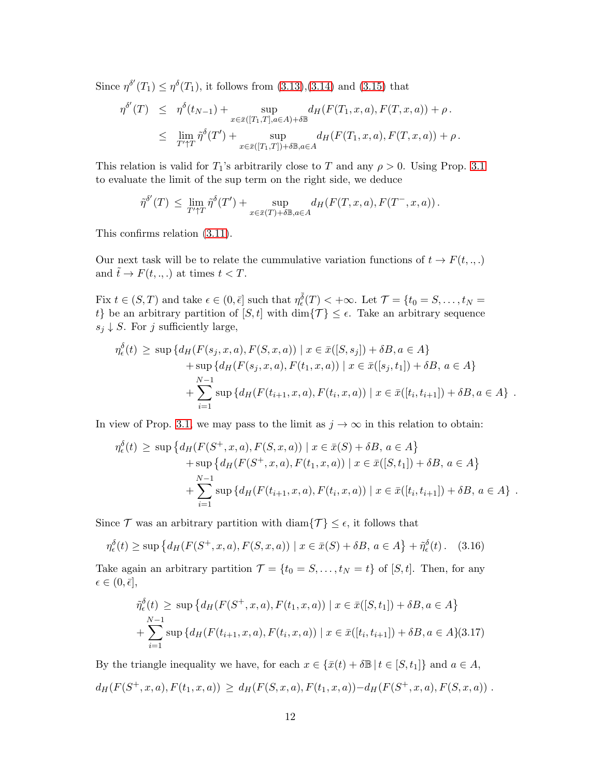Since  $\eta^{\delta'}(T_1) \leq \eta^{\delta}(T_1)$ , it follows from  $(3.13),(3.14)$  $(3.13),(3.14)$  and  $(3.15)$  that

$$
\eta^{\delta'}(T) \leq \eta^{\delta}(t_{N-1}) + \sup_{x \in \bar{x}([T_1, T], a \in A) + \delta \mathbb{B}} d_H(F(T_1, x, a), F(T, x, a)) + \rho.
$$
  

$$
\leq \lim_{T' \uparrow T} \tilde{\eta}^{\delta}(T') + \sup_{x \in \bar{x}([T_1, T]) + \delta \mathbb{B}, a \in A} d_H(F(T_1, x, a), F(T, x, a)) + \rho.
$$

This relation is valid for  $T_1$ 's arbitrarily close to T and any  $\rho > 0$ . Using Prop. [3.1](#page-6-0) to evaluate the limit of the sup term on the right side, we deduce

$$
\tilde{\eta}^{\delta'}(T) \leq \lim_{T'\uparrow T} \tilde{\eta}^{\delta}(T') + \sup_{x\in\bar{x}(T)+\delta\mathbb{B},a\in A} d_H(F(T,x,a),F(T^-,x,a)).
$$

This confirms relation [\(3.11\)](#page-10-5).

Our next task will be to relate the cummulative variation functions of  $t \to F(t, ., .)$ and  $\tilde{t} \to F(t, ., .)$  at times  $t < T$ .

Fix  $t \in (S, T)$  and take  $\epsilon \in (0, \bar{\epsilon}]$  such that  $\eta_{\epsilon}^{\bar{\delta}}(T) < +\infty$ . Let  $\mathcal{T} = \{t_0 = S, \ldots, t_N =$ t} be an arbitrary partition of  $[S, t]$  with  $\dim\{\mathcal{T}\}\leq \epsilon$ . Take an arbitrary sequence  $s_j \downarrow S$ . For j sufficiently large,

$$
\eta_{\epsilon}^{\delta}(t) \ge \sup \{ d_{H}(F(s_{j}, x, a), F(S, x, a)) \mid x \in \bar{x}([S, s_{j}]) + \delta B, a \in A \} + \sup \{ d_{H}(F(s_{j}, x, a), F(t_{1}, x, a)) \mid x \in \bar{x}([s_{j}, t_{1}]) + \delta B, a \in A \} + \sum_{i=1}^{N-1} \sup \{ d_{H}(F(t_{i+1}, x, a), F(t_{i}, x, a)) \mid x \in \bar{x}([t_{i}, t_{i+1}]) + \delta B, a \in A \} .
$$

In view of Prop. [3.1,](#page-6-0) we may pass to the limit as  $j \to \infty$  in this relation to obtain:

$$
\eta_{\epsilon}^{\delta}(t) \ge \sup \{ d_{H}(F(S^{+}, x, a), F(S, x, a)) \mid x \in \bar{x}(S) + \delta B, a \in A \} + \sup \{ d_{H}(F(S^{+}, x, a), F(t_{1}, x, a)) \mid x \in \bar{x}([S, t_{1}]) + \delta B, a \in A \} + \sum_{i=1}^{N-1} \sup \{ d_{H}(F(t_{i+1}, x, a), F(t_{i}, x, a)) \mid x \in \bar{x}([t_{i}, t_{i+1}]) + \delta B, a \in A \} .
$$

Since  $\mathcal T$  was an arbitrary partition with diam $\{\mathcal T\} \leq \epsilon$ , it follows that

<span id="page-11-1"></span>
$$
\eta_{\epsilon}^{\delta}(t) \ge \sup \left\{ d_H(F(S^+, x, a), F(S, x, a)) \mid x \in \bar{x}(S) + \delta B, a \in A \right\} + \tilde{\eta}_{\epsilon}^{\delta}(t). \tag{3.16}
$$

Take again an arbitrary partition  $\mathcal{T} = \{t_0 = S, \ldots, t_N = t\}$  of  $[S, t]$ . Then, for any  $\epsilon \in (0, \bar{\epsilon}],$ 

<span id="page-11-0"></span>
$$
\tilde{\eta}_\epsilon^{\delta}(t) \ge \sup \{ d_H(F(S^+, x, a), F(t_1, x, a)) \mid x \in \bar{x}([S, t_1]) + \delta B, a \in A \}
$$
  
+ 
$$
\sum_{i=1}^{N-1} \sup \{ d_H(F(t_{i+1}, x, a), F(t_i, x, a)) \mid x \in \bar{x}([t_i, t_{i+1}]) + \delta B, a \in A \}
$$
(3.17)

By the triangle inequality we have, for each  $x \in {\bar{x}(t) + \delta \mathbb{B} | t \in [S, t_1]}$  and  $a \in A$ ,  $d_H(F(S^+, x, a), F(t_1, x, a)) \geq d_H(F(S, x, a), F(t_1, x, a)) - d_H(F(S^+, x, a), F(S, x, a))$ .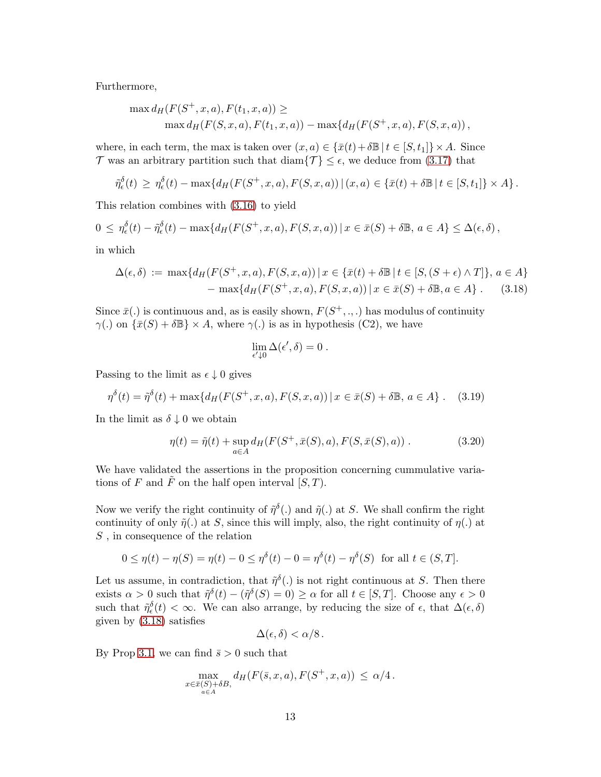Furthermore,

$$
\max d_H(F(S^+, x, a), F(t_1, x, a)) \ge \max d_H(F(S, x, a), F(t_1, x, a)) - \max \{d_H(F(S^+, x, a), F(S, x, a)),
$$

where, in each term, the max is taken over  $(x, a) \in {\overline{x}}(t) + \delta \mathbb{B} | t \in [S, t_1] \times A$ . Since T was an arbitrary partition such that  $\text{diam}\{\mathcal{T}\}\leq \epsilon$ , we deduce from [\(3.17\)](#page-11-0) that

$$
\tilde{\eta}_{\epsilon}^{\delta}(t) \geq \eta_{\epsilon}^{\delta}(t) - \max\{d_H(F(S^+,x,a), F(S,x,a)) \,|\, (x,a) \in \{\bar{x}(t) + \delta \mathbb{B} \,|\, t \in [S,t_1] \} \times A\}.
$$

This relation combines with [\(3.16\)](#page-11-1) to yield

$$
0 \leq \eta_{\epsilon}^{\delta}(t) - \tilde{\eta}_{\epsilon}^{\delta}(t) - \max\{d_H(F(S^+, x, a), F(S, x, a)) \mid x \in \bar{x}(S) + \delta \mathbb{B}, a \in A\} \leq \Delta(\epsilon, \delta),
$$

<span id="page-12-0"></span>in which

$$
\Delta(\epsilon, \delta) := \max \{ d_H(F(S^+, x, a), F(S, x, a)) \mid x \in \{ \bar{x}(t) + \delta \mathbb{B} \mid t \in [S, (S + \epsilon) \wedge T] \}, a \in A \}
$$
  
- 
$$
\max \{ d_H(F(S^+, x, a), F(S, x, a)) \mid x \in \bar{x}(S) + \delta \mathbb{B}, a \in A \} .
$$
 (3.18)

Since  $\bar{x}$ . is continuous and, as is easily shown,  $F(S^+, \ldots)$  has modulus of continuity  $\gamma(.)$  on  $\{\bar{x}(S) + \delta \mathbb{B}\}\times A$ , where  $\gamma(.)$  is as in hypothesis (C2), we have

$$
\lim_{\epsilon'\downarrow 0}\Delta(\epsilon',\delta)=0\;.
$$

Passing to the limit as  $\epsilon \downarrow 0$  gives

<span id="page-12-1"></span>
$$
\eta^{\delta}(t) = \tilde{\eta}^{\delta}(t) + \max\{d_H(F(S^+, x, a), F(S, x, a)) \mid x \in \bar{x}(S) + \delta \mathbb{B}, a \in A\}.
$$
 (3.19)

In the limit as  $\delta \downarrow 0$  we obtain

<span id="page-12-2"></span>
$$
\eta(t) = \tilde{\eta}(t) + \sup_{a \in A} d_H(F(S^+, \bar{x}(S), a), F(S, \bar{x}(S), a)) . \tag{3.20}
$$

We have validated the assertions in the proposition concerning cummulative variations of F and  $\tilde{F}$  on the half open interval  $[S, T)$ .

Now we verify the right continuity of  $\tilde{\eta}^{\delta}(.)$  and  $\tilde{\eta}(.)$  at S. We shall confirm the right continuity of only  $\tilde{\eta}(\cdot)$  at S, since this will imply, also, the right continuity of  $\eta(\cdot)$  at S , in consequence of the relation

$$
0 \le \eta(t) - \eta(S) = \eta(t) - 0 \le \eta^{\delta}(t) - 0 = \eta^{\delta}(t) - \eta^{\delta}(S)
$$
 for all  $t \in (S, T]$ .

Let us assume, in contradiction, that  $\tilde{\eta}^{\delta}(.)$  is not right continuous at S. Then there exists  $\alpha > 0$  such that  $\tilde{\eta}^{\delta}(t) - (\tilde{\eta}^{\delta}(S) = 0) \ge \alpha$  for all  $t \in [S, T]$ . Choose any  $\epsilon > 0$ such that  $\tilde{\eta}_{\epsilon}^{\delta}(t) < \infty$ . We can also arrange, by reducing the size of  $\epsilon$ , that  $\Delta(\epsilon, \delta)$ given by [\(3.18\)](#page-12-0) satisfies

$$
\Delta(\epsilon,\delta) < \alpha/8 \, .
$$

By Prop [3.1,](#page-6-0) we can find  $\bar{s} > 0$  such that

$$
\max_{\substack{x \in \bar{x}(S) + \delta B, \\ a \in A}} d_H(F(\bar{s}, x, a), F(S^+, x, a)) \leq \alpha/4.
$$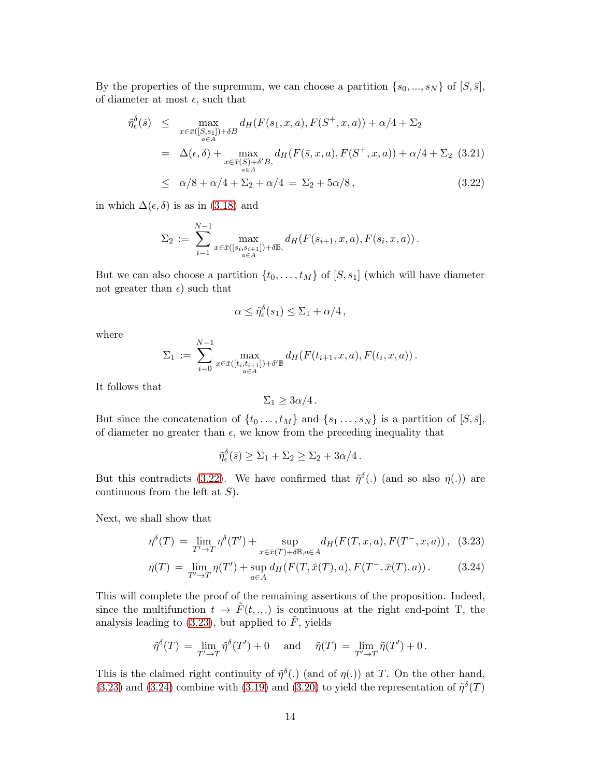By the properties of the supremum, we can choose a partition  $\{s_0, ..., s_N\}$  of  $[S, \bar{s}],$ of diameter at most  $\epsilon$ , such that

<span id="page-13-0"></span>
$$
\tilde{\eta}_{\epsilon}^{\delta}(\bar{s}) \leq \max_{x \in \bar{x}([S,s_1]) + \delta B} d_H(F(s_1, x, a), F(S^+, x, a)) + \alpha/4 + \Sigma_2
$$
\n
$$
= \Delta(\epsilon, \delta) + \max_{x \in \bar{x}(S) + \delta' B, d_H(F(\bar{s}, x, a), F(S^+, x, a)) + \alpha/4 + \Sigma_2 \quad (3.21)
$$
\n
$$
\leq \alpha/8 + \alpha/4 + \Sigma_2 + \alpha/4 = \Sigma_2 + 5\alpha/8,
$$
\n(3.22)

in which  $\Delta(\epsilon, \delta)$  is as in [\(3.18\)](#page-12-0) and

$$
\Sigma_2 := \sum_{i=1}^{N-1} \max_{x \in \bar{x}([s_i, s_{i+1}]) + \delta \mathbb{B}, \atop a \in A} d_H(F(s_{i+1}, x, a), F(s_i, x, a)).
$$

But we can also choose a partition  $\{t_0, \ldots, t_M\}$  of  $[S, s_1]$  (which will have diameter not greater than  $\epsilon$ ) such that

$$
\alpha \leq \tilde{\eta}_{\epsilon}^{\delta}(s_1) \leq \Sigma_1 + \alpha/4 \,,
$$

where

$$
\Sigma_1 := \sum_{i=0}^{N-1} \max_{x \in \bar{x}([t_i,t_{i+1}]) + \delta' \mathbb{B}} d_H(F(t_{i+1},x,a),F(t_i,x,a)).
$$

It follows that

$$
\Sigma_1 \geq 3\alpha/4.
$$

But since the concatenation of  $\{t_0 \ldots, t_M\}$  and  $\{s_1 \ldots, s_N\}$  is a partition of  $[S, \bar{s}],$ of diameter no greater than  $\epsilon$ , we know from the preceding inequality that

$$
\tilde{\eta}_{\epsilon}^{\delta}(\bar{s}) \ge \Sigma_1 + \Sigma_2 \ge \Sigma_2 + 3\alpha/4.
$$

But this contradicts [\(3.22\)](#page-13-0). We have confirmed that  $\tilde{\eta}^{\delta}$ . (and so also  $\eta(.)$ ) are continuous from the left at  $S$ ).

Next, we shall show that

<span id="page-13-1"></span>
$$
\eta^{\delta}(T) = \lim_{T' \to T} \eta^{\delta}(T') + \sup_{x \in \bar{x}(T) + \delta \mathbb{B}, a \in A} d_H(F(T, x, a), F(T^-, x, a)), \tag{3.23}
$$

$$
\eta(T) = \lim_{T' \to T} \eta(T') + \sup_{a \in A} d_H(F(T, \bar{x}(T), a), F(T^-, \bar{x}(T), a)). \tag{3.24}
$$

This will complete the proof of the remaining assertions of the proposition. Indeed, since the multifunction  $t \to \tilde{F}(t, ., .)$  is continuous at the right end-point T, the analysis leading to [\(3.23\)](#page-13-1), but applied to  $\tilde{F}$ , yields

$$
\tilde{\eta}^{\delta}(T) = \lim_{T' \to T} \tilde{\eta}^{\delta}(T') + 0 \quad \text{ and } \quad \tilde{\eta}(T) = \lim_{T' \to T} \tilde{\eta}(T') + 0 \, .
$$

This is the claimed right continuity of  $\tilde{\eta}^{\delta}$ . (and of  $\eta(.)$ ) at T. On the other hand, [\(3.23\)](#page-13-1) and [\(3.24\)](#page-13-1) combine with [\(3.19\)](#page-12-1) and [\(3.20\)](#page-12-2) to yield the representation of  $\tilde{\eta}^{\delta}(T)$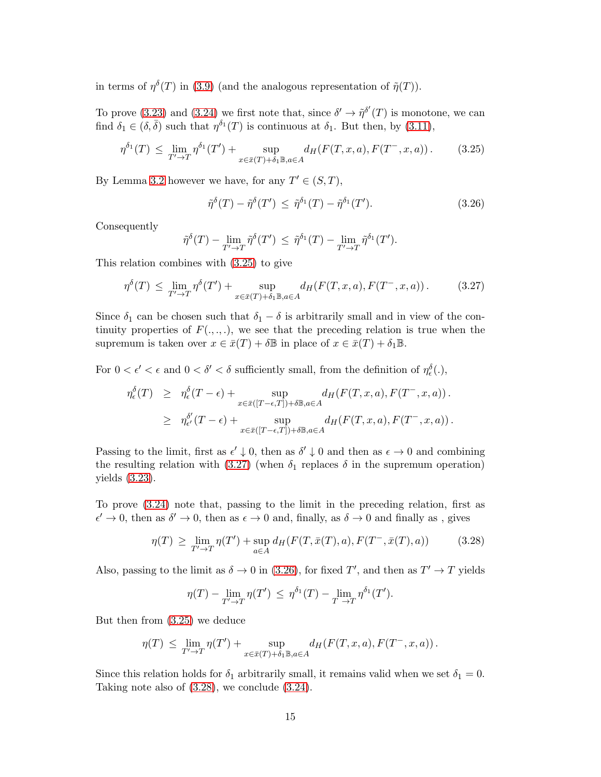in terms of  $\eta^{\delta}(T)$  in [\(3.9\)](#page-9-2) (and the analogous representation of  $\tilde{\eta}(T)$ ).

To prove [\(3.23\)](#page-13-1) and [\(3.24\)](#page-13-1) we first note that, since  $\delta' \to \tilde{\eta}^{\delta'}(T)$  is monotone, we can find  $\delta_1 \in (\delta, \bar{\delta})$  such that  $\eta^{\delta_1}(T)$  is continuous at  $\delta_1$ . But then, by [\(3.11\)](#page-10-5),

<span id="page-14-0"></span>
$$
\eta^{\delta_1}(T) \le \lim_{T' \to T} \eta^{\delta_1}(T') + \sup_{x \in \bar{x}(T) + \delta_1 \mathbb{B}, a \in A} d_H(F(T, x, a), F(T^-, x, a)). \tag{3.25}
$$

By Lemma [3.2](#page-8-0) however we have, for any  $T' \in (S, T)$ ,

<span id="page-14-2"></span>
$$
\tilde{\eta}^{\delta}(T) - \tilde{\eta}^{\delta}(T') \leq \tilde{\eta}^{\delta_1}(T) - \tilde{\eta}^{\delta_1}(T'). \tag{3.26}
$$

Consequently

$$
\tilde{\eta}^{\delta}(T) - \lim_{T' \to T} \tilde{\eta}^{\delta}(T') \leq \tilde{\eta}^{\delta_1}(T) - \lim_{T' \to T} \tilde{\eta}^{\delta_1}(T').
$$

This relation combines with [\(3.25\)](#page-14-0) to give

<span id="page-14-1"></span>
$$
\eta^{\delta}(T) \leq \lim_{T' \to T} \eta^{\delta}(T') + \sup_{x \in \bar{x}(T) + \delta_1 \mathbb{B}, a \in A} d_H(F(T, x, a), F(T^-, x, a)). \tag{3.27}
$$

Since  $\delta_1$  can be chosen such that  $\delta_1 - \delta$  is arbitrarily small and in view of the continuity properties of  $F(., ., .)$ , we see that the preceding relation is true when the supremum is taken over  $x \in \overline{x}(T) + \delta \mathbb{B}$  in place of  $x \in \overline{x}(T) + \delta_1 \mathbb{B}$ .

For  $0 < \epsilon' < \epsilon$  and  $0 < \delta' < \delta$  sufficiently small, from the definition of  $\eta_{\epsilon}^{\delta}(.)$ ,

$$
\eta_{\epsilon}^{\delta}(T) \geq \eta_{\epsilon}^{\delta}(T-\epsilon) + \sup_{x \in \bar{x}([T-\epsilon,T]) + \delta \mathbb{B}, a \in A} d_H(F(T,x,a), F(T^-,x,a)).
$$
  

$$
\geq \eta_{\epsilon'}^{\delta'}(T-\epsilon) + \sup_{x \in \bar{x}([T-\epsilon,T]) + \delta \mathbb{B}, a \in A} d_H(F(T,x,a), F(T^-,x,a)).
$$

Passing to the limit, first as  $\epsilon' \downarrow 0$ , then as  $\delta' \downarrow 0$  and then as  $\epsilon \to 0$  and combining the resulting relation with [\(3.27\)](#page-14-1) (when  $\delta_1$  replaces  $\delta$  in the supremum operation) yields [\(3.23\)](#page-13-1).

To prove [\(3.24\)](#page-13-1) note that, passing to the limit in the preceding relation, first as  $\epsilon' \to 0$ , then as  $\delta' \to 0$ , then as  $\epsilon \to 0$  and, finally, as  $\delta \to 0$  and finally as, gives

<span id="page-14-3"></span>
$$
\eta(T) \ge \lim_{T' \to T} \eta(T') + \sup_{a \in A} d_H(F(T, \bar{x}(T), a), F(T^-, \bar{x}(T), a)) \tag{3.28}
$$

Also, passing to the limit as  $\delta \to 0$  in [\(3.26\)](#page-14-2), for fixed T', and then as  $T' \to T$  yields

$$
\eta(T) - \lim_{T' \to T} \eta(T') \leq \eta^{\delta_1}(T) - \lim_{T \to T} \eta^{\delta_1}(T').
$$

But then from [\(3.25\)](#page-14-0) we deduce

$$
\eta(T) \leq \lim_{T' \to T} \eta(T') + \sup_{x \in \bar{x}(T) + \delta_1 \mathbb{B}, a \in A} d_H(F(T, x, a), F(T^-, x, a)).
$$

Since this relation holds for  $\delta_1$  arbitrarily small, it remains valid when we set  $\delta_1 = 0$ . Taking note also of [\(3.28\)](#page-14-3), we conclude [\(3.24\)](#page-13-1).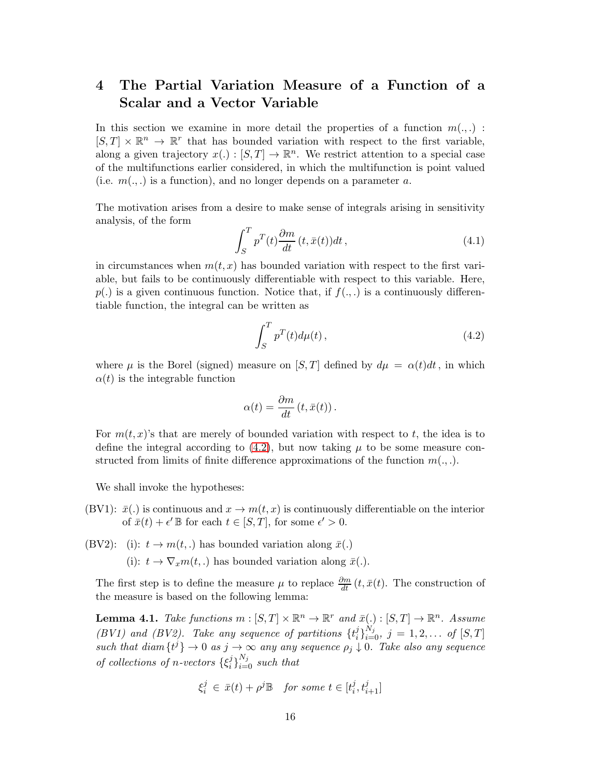## 4 The Partial Variation Measure of a Function of a Scalar and a Vector Variable

In this section we examine in more detail the properties of a function  $m(.,.)$ :  $[S,T] \times \mathbb{R}^n \to \mathbb{R}^r$  that has bounded variation with respect to the first variable, along a given trajectory  $x(.) : [S, T] \to \mathbb{R}^n$ . We restrict attention to a special case of the multifunctions earlier considered, in which the multifunction is point valued (i.e.  $m(.,.)$ ) is a function), and no longer depends on a parameter a.

The motivation arises from a desire to make sense of integrals arising in sensitivity analysis, of the form

$$
\int_{S}^{T} p^{T}(t) \frac{\partial m}{dt} (t, \bar{x}(t)) dt , \qquad (4.1)
$$

in circumstances when  $m(t, x)$  has bounded variation with respect to the first variable, but fails to be continuously differentiable with respect to this variable. Here,  $p(.)$  is a given continuous function. Notice that, if  $f(.,.)$  is a continuously differentiable function, the integral can be written as

<span id="page-15-0"></span>
$$
\int_{S}^{T} p^{T}(t) d\mu(t) , \qquad (4.2)
$$

where  $\mu$  is the Borel (signed) measure on [S, T] defined by  $d\mu = \alpha(t)dt$ , in which  $\alpha(t)$  is the integrable function

$$
\alpha(t) = \frac{\partial m}{dt} (t, \bar{x}(t)).
$$

For  $m(t, x)$ 's that are merely of bounded variation with respect to t, the idea is to define the integral according to  $(4.2)$ , but now taking  $\mu$  to be some measure constructed from limits of finite difference approximations of the function  $m(.,.)$ .

We shall invoke the hypotheses:

(BV1):  $\bar{x}$ .) is continuous and  $x \to m(t, x)$  is continuously differentiable on the interior of  $\bar{x}(t) + \epsilon' \mathbb{B}$  for each  $t \in [S, T]$ , for some  $\epsilon' > 0$ .

(BV2): (i):  $t \to m(t,.)$  has bounded variation along  $\bar{x}(.)$ 

(i):  $t \to \nabla_x m(t,.)$  has bounded variation along  $\bar{x}(.)$ .

The first step is to define the measure  $\mu$  to replace  $\frac{\partial m}{\partial t}(t, \bar{x}(t))$ . The construction of the measure is based on the following lemma:

<span id="page-15-1"></span>**Lemma 4.1.** Take functions  $m : [S, T] \times \mathbb{R}^n \to \mathbb{R}^r$  and  $\bar{x}(.) : [S, T] \to \mathbb{R}^n$ . Assume (BV1) and (BV2). Take any sequence of partitions  $\{t_i^j\}$  $j_i^{j}$ <sub>i</sub> $j_i^{N_j}$ ,  $j = 1, 2, \ldots$  of  $[S, T]$ such that diam  $\{t^j\} \to 0$  as  $j \to \infty$  any any sequence  $\rho_j \downarrow 0$ . Take also any sequence of collections of n-vectors  $\{\xi_i^j\}$  $\{i\}_{i=0}^{N_j}$  such that

$$
\xi_i^j \in \bar{x}(t) + \rho^j \mathbb{B} \quad \text{for some } t \in [t_i^j, t_{i+1}^j]
$$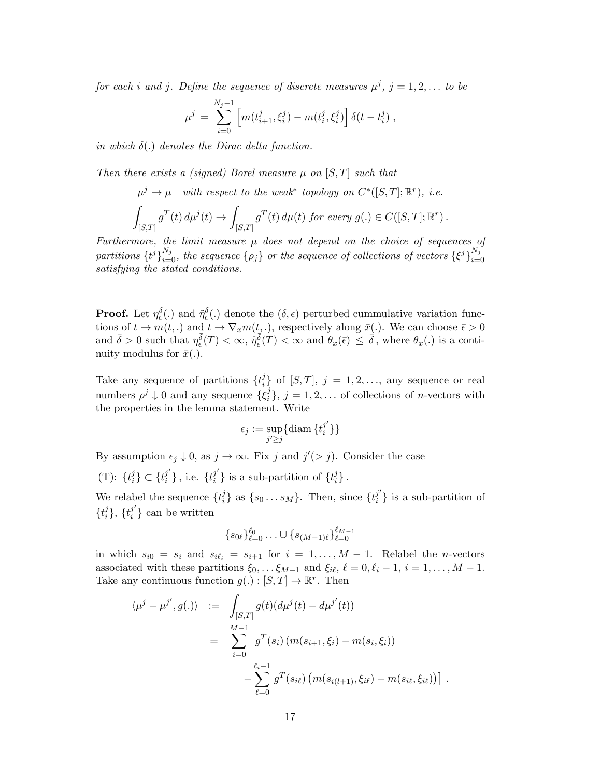for each i and j. Define the sequence of discrete measures  $\mu^{j}$ ,  $j = 1, 2, ...$  to be

$$
\mu^j \,=\, \sum_{i=0}^{N_j-1} \left[m(t^j_{i+1},\xi^j_i) - m(t^j_i,\xi^j_i)\right] \delta(t-t^j_i) \;,
$$

in which  $\delta(.)$  denotes the Dirac delta function.

Then there exists a (signed) Borel measure  $\mu$  on [S, T] such that

$$
\mu^j \to \mu \quad \text{with respect to the weak* topology on } C^*([S,T]; \mathbb{R}^r), \ i.e.
$$

$$
\int_{[S,T]} g^T(t) d\mu^j(t) \to \int_{[S,T]} g^T(t) d\mu(t) \text{ for every } g(.) \in C([S,T]; \mathbb{R}^r).
$$

Furthermore, the limit measure  $\mu$  does not depend on the choice of sequences of partitions  $\{t^j\}_{i=0}^{N_j}$ , the sequence  $\{\rho_j\}$  or the sequence of collections of vectors  $\{\xi^j\}_{i=0}^{N_j}$  $i=0$ satisfying the stated conditions.

**Proof.** Let  $\eta_{\epsilon}^{\delta}(\cdot)$  and  $\tilde{\eta}_{\epsilon}^{\delta}(\cdot)$  denote the  $(\delta, \epsilon)$  perturbed cummulative variation functions of  $t \to m(t,.)$  and  $t \to \nabla_x m(t,.)$ , respectively along  $\bar{x}(.)$ . We can choose  $\bar{\epsilon} > 0$ and  $\bar{\delta} > 0$  such that  $\eta_{\bar{\epsilon}}^{\bar{\delta}}(T) < \infty$ ,  $\eta_{\bar{\epsilon}}^{\bar{\delta}}(T) < \infty$  and  $\theta_{\bar{x}}(\bar{\epsilon}) \leq \bar{\delta}$ , where  $\theta_{\bar{x}}(.)$  is a continuity modulus for  $\bar{x}$ ...

Take any sequence of partitions  $\{t_i^j\}$  $i<sup>j</sup>$  of  $[S,T]$ ,  $j = 1, 2, \ldots$ , any sequence or real numbers  $\rho^j \downarrow 0$  and any sequence  $\{\xi_i^j\}$  $i_j$ ,  $j = 1, 2, \ldots$  of collections of *n*-vectors with the properties in the lemma statement. Write

$$
\epsilon_j := \sup_{j' \ge j} \{ \operatorname{diam} \{ t_i^{j'} \} \}
$$

By assumption  $\epsilon_j \downarrow 0$ , as  $j \to \infty$ . Fix j and  $j'(> j)$ . Consider the case

 $(T)$ : { $t_i^j$  $\{i\}^j \subset \{t_i^{j'}\}$  $\left\{j'\right\}$  , i.e.  $\{t^{j'}_i$  $\{i \atop i\}$  is a sub-partition of  $\{t_i^j\}$  $_{i}^{\jmath}\}$  .

We relabel the sequence  $\{t_i^j\}$  $\{i\}$  as  $\{s_0 \dots s_M\}$ . Then, since  $\{t_i^{j'}\}$  $\{y_i\}$  is a sub-partition of  $\{t_i^j\}$  $\{i\}$ ,  $\{t_{i}^{j'}\}$  $\binom{J}{i}$  can be written

$$
\{s_{0\ell}\}_{\ell=0}^{\ell_0} \ldots \cup \{s_{(M-1)\ell}\}_{\ell=0}^{\ell_{M-1}}
$$

in which  $s_{i0} = s_i$  and  $s_{i\ell_i} = s_{i+1}$  for  $i = 1, \ldots, M-1$ . Relabel the *n*-vectors associated with these partitions  $\xi_0, \ldots, \xi_{M-1}$  and  $\xi_{i\ell}, \ell = 0, \ell_i - 1, i = 1, \ldots, M - 1$ . Take any continuous function  $g(.) : [S, T] \to \mathbb{R}^r$ . Then

$$
\langle \mu^{j} - \mu^{j'}, g(.) \rangle := \int_{[S,T]} g(t) (d\mu^{j}(t) - d\mu^{j'}(t))
$$
  
= 
$$
\sum_{i=0}^{M-1} [g^{T}(s_i) (m(s_{i+1}, \xi_i) - m(s_i, \xi_i))
$$
  

$$
- \sum_{\ell=0}^{\ell_i-1} g^{T}(s_{i\ell}) (m(s_{i(l+1)}, \xi_{i\ell}) - m(s_{i\ell}, \xi_{i\ell}))].
$$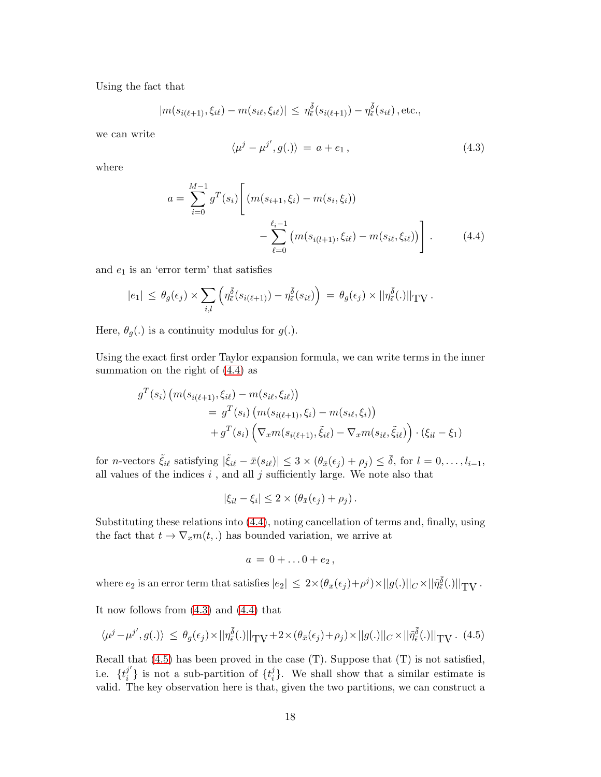Using the fact that

$$
|m(s_{i(\ell+1)}, \xi_{i\ell}) - m(s_{i\ell}, \xi_{i\ell})| \leq \eta_{\bar{\epsilon}}^{\bar{\delta}}(s_{i(\ell+1)}) - \eta_{\bar{\epsilon}}^{\bar{\delta}}(s_{i\ell}), \text{etc.},
$$

we can write

<span id="page-17-1"></span>
$$
\langle \mu^j - \mu^{j'}, g(.) \rangle = a + e_1, \qquad (4.3)
$$

where

<span id="page-17-0"></span>
$$
a = \sum_{i=0}^{M-1} g^T(s_i) \left[ (m(s_{i+1}, \xi_i) - m(s_i, \xi_i)) - \sum_{\ell=0}^{\ell_i - 1} (m(s_{i(\ell+1)}, \xi_i) - m(s_{i\ell}, \xi_i)) \right].
$$
 (4.4)

and  $e_1$  is an 'error term' that satisfies

$$
|e_1| \leq \theta_g(\epsilon_j) \times \sum_{i,l} \left( \eta_{\bar{\epsilon}}^{\bar{\delta}}(s_{i(\ell+1)}) - \eta_{\bar{\epsilon}}^{\bar{\delta}}(s_{i\ell}) \right) = \theta_g(\epsilon_j) \times ||\eta_{\bar{\epsilon}}^{\bar{\delta}}(.)||_{TV}.
$$

Here,  $\theta_g(.)$  is a continuity modulus for  $g(.)$ .

Using the exact first order Taylor expansion formula, we can write terms in the inner summation on the right of [\(4.4\)](#page-17-0) as

$$
g^{T}(s_{i}) (m(s_{i(\ell+1)}, \xi_{i\ell}) - m(s_{i\ell}, \xi_{i\ell}))
$$
  
=  $g^{T}(s_{i}) (m(s_{i(\ell+1)}, \xi_{i}) - m(s_{i\ell}, \xi_{i}))$   
+  $g^{T}(s_{i}) (\nabla_{x} m(s_{i(\ell+1)}, \tilde{\xi}_{i\ell}) - \nabla_{x} m(s_{i\ell}, \tilde{\xi}_{i\ell})) \cdot (\xi_{i\ell} - \xi_{1})$ 

for *n*-vectors  $\tilde{\xi}_{i\ell}$  satisfying  $|\tilde{\xi}_{i\ell} - \bar{x}(s_{i\ell})| \leq 3 \times (\theta_{\bar{x}}(\epsilon_j) + \rho_j) \leq \bar{\delta}$ , for  $l = 0, \ldots, l_{i-1}$ , all values of the indices  $i$ , and all  $j$  sufficiently large. We note also that

$$
|\xi_{il} - \xi_i| \leq 2 \times (\theta_{\bar{x}}(\epsilon_j) + \rho_j).
$$

Substituting these relations into [\(4.4\)](#page-17-0), noting cancellation of terms and, finally, using the fact that  $t \to \nabla_x m(t,.)$  has bounded variation, we arrive at

$$
a=0+\ldots 0+e_2\,,
$$

where  $e_2$  is an error term that satisfies  $|e_2| \leq 2 \times (\theta_{\bar{x}}(\epsilon_j) + \rho^j) \times ||g(.)||_C \times ||\tilde{\eta}_{\bar{\epsilon}}(\epsilon_j)||_{TV}$ .

It now follows from [\(4.3\)](#page-17-1) and [\(4.4\)](#page-17-0) that

<span id="page-17-2"></span>
$$
\langle \mu^j - \mu^{j'}, g(.) \rangle \le \theta_g(\epsilon_j) \times ||\eta_{\bar{\epsilon}}^{\bar{\delta}}(.)||_{\mathrm{TV}} + 2 \times (\theta_{\bar{x}}(\epsilon_j) + \rho_j) \times ||g(.)||_{C} \times ||\tilde{\eta}_{\bar{\epsilon}}^{\bar{\delta}}(.)||_{\mathrm{TV}}. \tag{4.5}
$$

Recall that [\(4.5\)](#page-17-2) has been proved in the case (T). Suppose that (T) is not satisfied, i.e.  $\{t_i^{j'}\}$  $\{i \atop i\}$  is not a sub-partition of  $\{t_i^j\}$  $\{e_i\}$ . We shall show that a similar estimate is valid. The key observation here is that, given the two partitions, we can construct a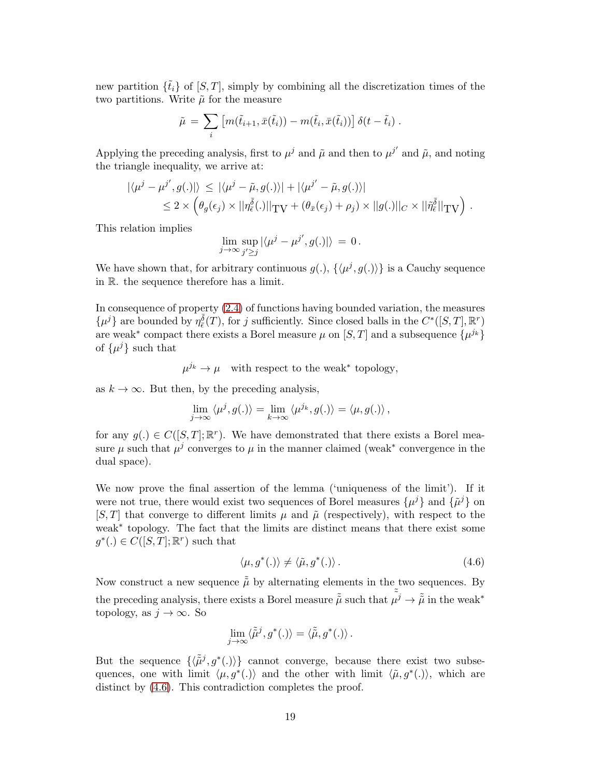new partition  $\{\tilde{t}_i\}$  of  $[S, T]$ , simply by combining all the discretization times of the two partitions. Write  $\tilde{\mu}$  for the measure

$$
\tilde{\mu} = \sum_i \left[ m(\tilde{t}_{i+1}, \bar{x}(\tilde{t}_i)) - m(\tilde{t}_i, \bar{x}(\tilde{t}_i)) \right] \delta(t - \tilde{t}_i) .
$$

Applying the preceding analysis, first to  $\mu^j$  and  $\tilde{\mu}$  and then to  $\mu^{j'}$  and  $\tilde{\mu}$ , and noting the triangle inequality, we arrive at:

$$
\begin{aligned} |\langle \mu^j - \mu^{j'}, g(.)| \rangle &\leq |\langle \mu^j - \tilde{\mu}, g(.) \rangle| + |\langle \mu^{j'} - \tilde{\mu}, g(.) \rangle| \\ &\leq 2 \times \left( \theta_g(\epsilon_j) \times ||\eta_{\epsilon}^{\bar{\delta}}(.)||_{\text{TV}} + (\theta_{\bar{x}}(\epsilon_j) + \rho_j) \times ||g(.)||_{C} \times ||\tilde{\eta}_{\epsilon}^{\bar{\delta}}||_{\text{TV}} \right) \,. \end{aligned}
$$

This relation implies

$$
\lim_{j\to\infty}\sup_{j'\geq j}|\langle\mu^j-\mu^{j'},g(.)|\rangle\,=\,0\,.
$$

We have shown that, for arbitrary continuous  $g(.)$ ,  $\{\langle \mu^j, g(.) \rangle\}$  is a Cauchy sequence in R. the sequence therefore has a limit.

In consequence of property [\(2.4\)](#page-5-1) of functions having bounded variation, the measures  $\{\mu^j\}$  are bounded by  $\eta^{\bar{\delta}}_{\bar{\epsilon}}(T)$ , for j sufficiently. Since closed balls in the  $C^*([S,T],\mathbb{R}^r)$ are weak<sup>\*</sup> compact there exists a Borel measure  $\mu$  on [S, T] and a subsequence  $\{\mu^{j_k}\}$ of  $\{\mu^j\}$  such that

 $\mu^{j_k} \to \mu$  with respect to the weak<sup>\*</sup> topology,

as  $k \to \infty$ . But then, by the preceding analysis,

$$
\lim_{j \to \infty} \langle \mu^j, g(.) \rangle = \lim_{k \to \infty} \langle \mu^{j_k}, g(.) \rangle = \langle \mu, g(.) \rangle,
$$

for any  $g(.) \in C([S,T]; \mathbb{R}^r)$ . We have demonstrated that there exists a Borel measure  $\mu$  such that  $\mu^{j}$  converges to  $\mu$  in the manner claimed (weak<sup>\*</sup> convergence in the dual space).

We now prove the final assertion of the lemma ('uniqueness of the limit'). If it were not true, there would exist two sequences of Borel measures  $\{\mu^{j}\}\$  and  $\{\tilde{\mu}^{j}\}\$  on [S, T] that converge to different limits  $\mu$  and  $\tilde{\mu}$  (respectively), with respect to the weak<sup>∗</sup> topology. The fact that the limits are distinct means that there exist some  $g^*(.) \in C([S,T];\mathbb{R}^r)$  such that

<span id="page-18-0"></span>
$$
\langle \mu, g^*(.) \rangle \neq \langle \tilde{\mu}, g^*(.) \rangle. \tag{4.6}
$$

Now construct a new sequence  $\tilde{\tilde{\mu}}$  by alternating elements in the two sequences. By the preceding analysis, there exists a Borel measure  $\tilde{\tilde{\mu}}$  such that  $\tilde{\tilde{\mu}^j} \to \tilde{\tilde{\mu}}$  in the weak<sup>\*</sup> topology, as  $j \to \infty$ . So

$$
\lim_{j\to\infty}\langle \tilde{\tilde{\mu}}^j, g^*(.)\rangle = \langle \tilde{\tilde{\mu}}, g^*(.)\rangle.
$$

But the sequence  $\{\langle \tilde{\tilde{\mu}}^j, g^*(.)\rangle\}$  cannot converge, because there exist two subsequences, one with limit  $\langle \mu, g^*(.) \rangle$  and the other with limit  $\langle \tilde{\mu}, g^*(.) \rangle$ , which are distinct by  $(4.6)$ . This contradiction completes the proof.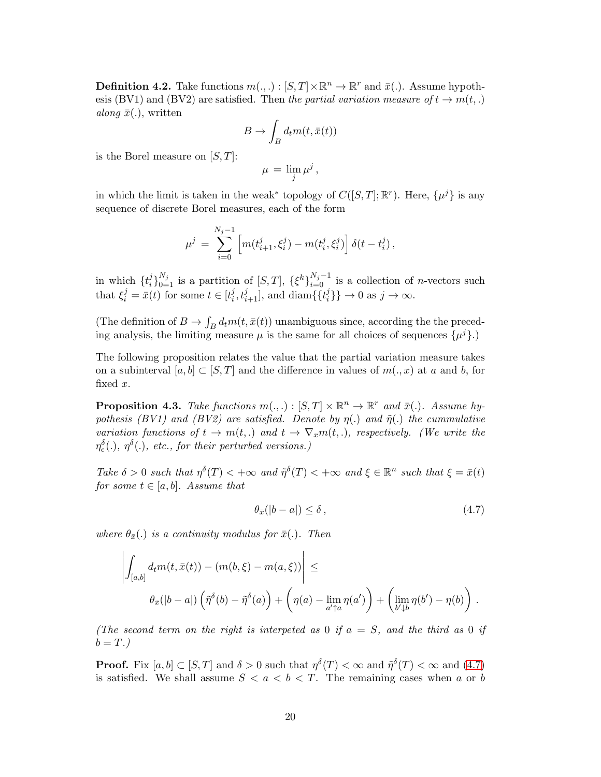**Definition 4.2.** Take functions  $m(., .) : [S, T] \times \mathbb{R}^n \to \mathbb{R}^r$  and  $\bar{x}(.)$ . Assume hypothesis (BV1) and (BV2) are satisfied. Then the partial variation measure of  $t \to m(t,.)$ along  $\bar{x}$ ., written

$$
B \to \int_B d_t m(t, \bar{x}(t))
$$

is the Borel measure on  $[S, T]$ :

$$
\mu\,=\,\lim_j\mu^j\,,
$$

in which the limit is taken in the weak<sup>\*</sup> topology of  $C([S,T];\mathbb{R}^r)$ . Here,  $\{\mu^j\}$  is any sequence of discrete Borel measures, each of the form

$$
\mu^j = \sum_{i=0}^{N_j-1} \left[ m(t_{i+1}^j, \xi_i^j) - m(t_i^j, \xi_i^j) \right] \delta(t - t_i^j),
$$

in which  $\{t_i^j\}$  $i_l^{j}$ <sub>0=1</sub> is a partition of [S, T],  $\{\xi^k\}_{i=0}^{N_j-1}$  is a collection of *n*-vectors such that  $\xi_i^j = \bar{x}(t)$  for some  $t \in [t_i^j]$  $(i, t_{i+1}^j]$ , and diam $\{\{t_i^j\}$  $\{i\}\}\rightarrow 0$  as  $j\rightarrow \infty$ .

(The definition of  $B \to \int_B d_t m(t, \bar{x}(t))$  unambiguous since, according the the preceding analysis, the limiting measure  $\mu$  is the same for all choices of sequences  $\{\mu^j\}$ .)

The following proposition relates the value that the partial variation measure takes on a subinterval  $[a, b] \subset [S, T]$  and the difference in values of  $m(., x)$  at a and b, for fixed x.

<span id="page-19-1"></span>**Proposition 4.3.** Take functions  $m(.,.): [S,T] \times \mathbb{R}^n \to \mathbb{R}^r$  and  $\bar{x}(.)$ . Assume hypothesis (BV1) and (BV2) are satisfied. Denote by  $\eta(.)$  and  $\tilde{\eta}(.)$  the cummulative variation functions of  $t \to m(t,.)$  and  $t \to \nabla_x m(t,.)$ , respectively. (We write the  $\eta_{\epsilon}^{\delta}(.)$ ,  $\eta^{\delta}(.)$ , etc., for their perturbed versions.)

Take  $\delta > 0$  such that  $\eta^{\delta}(T) < +\infty$  and  $\tilde{\eta}^{\delta}(T) < +\infty$  and  $\xi \in \mathbb{R}^n$  such that  $\xi = \bar{x}(t)$ for some  $t \in [a, b]$ . Assume that

<span id="page-19-0"></span>
$$
\theta_{\bar{x}}(|b-a|) \le \delta \,,\tag{4.7}
$$

where  $\theta_{\bar{x}}(.)$  is a continuity modulus for  $\bar{x}(.)$ . Then

$$
\left| \int_{[a,b]} d_t m(t, \bar{x}(t)) - (m(b,\xi) - m(a,\xi)) \right| \le
$$
  

$$
\theta_{\bar{x}}(|b-a|) \left( \tilde{\eta}^{\delta}(b) - \tilde{\eta}^{\delta}(a) \right) + \left( \eta(a) - \lim_{a' \uparrow a} \eta(a') \right) + \left( \lim_{b' \downarrow b} \eta(b') - \eta(b) \right).
$$

(The second term on the right is interpeted as 0 if  $a = S$ , and the third as 0 if  $b = T.$ )

**Proof.** Fix  $[a, b] \subset [S, T]$  and  $\delta > 0$  such that  $\eta^{\delta}(T) < \infty$  and  $\tilde{\eta}^{\delta}(T) < \infty$  and  $(4.7)$ is satisfied. We shall assume  $S < a < b < T$ . The remaining cases when a or b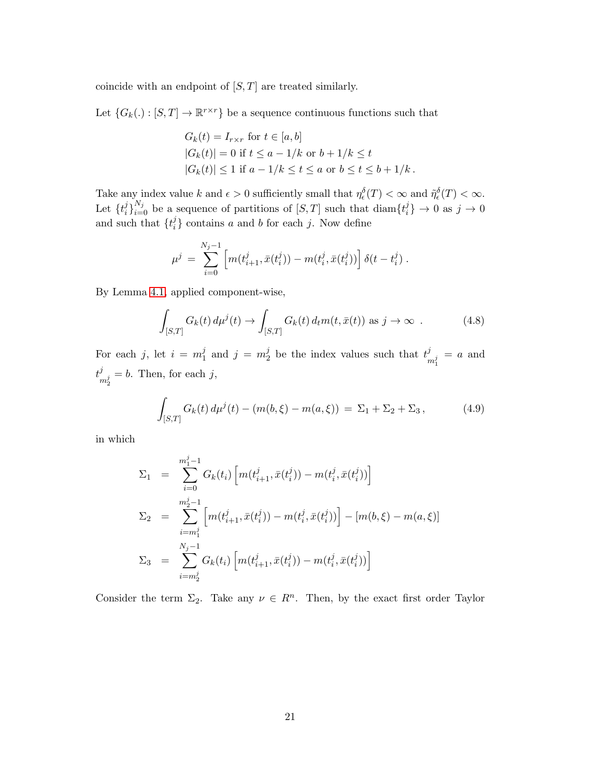coincide with an endpoint of  $[S, T]$  are treated similarly.

Let  $\{G_k(.) : [S, T] \to \mathbb{R}^{r \times r}\}$  be a sequence continuous functions such that

$$
G_k(t) = I_{r \times r} \text{ for } t \in [a, b]
$$
  
\n
$$
|G_k(t)| = 0 \text{ if } t \le a - 1/k \text{ or } b + 1/k \le t
$$
  
\n
$$
|G_k(t)| \le 1 \text{ if } a - 1/k \le t \le a \text{ or } b \le t \le b + 1/k.
$$

Take any index value k and  $\epsilon > 0$  sufficiently small that  $\eta_{\epsilon}^{\delta}(T) < \infty$  and  $\tilde{\eta}_{\epsilon}^{\delta}(T) < \infty$ . Let  $\{t_i^j\}$  $i$ <sub>i</sub> $i$ <sub>i=0</sub> be a sequence of partitions of [S, T] such that diam $\{t_i^j\}$  $j_i^j\}\rightarrow 0$  as  $j\rightarrow 0$ and such that  $\{t_i^j\}$  $i<sub>i</sub>$  contains a and b for each j. Now define

$$
\mu^j \,=\, \sum_{i=0}^{N_j-1} \left[m(t_{i+1}^j,\bar{x}(t_i^j))-m(t_i^j,\bar{x}(t_i^j))\right] \delta(t-t_i^j) \; .
$$

By Lemma [4.1,](#page-15-1) applied component-wise,

<span id="page-20-0"></span>
$$
\int_{[S,T]} G_k(t) d\mu^j(t) \to \int_{[S,T]} G_k(t) d_t m(t, \bar{x}(t)) \text{ as } j \to \infty .
$$
 (4.8)

For each j, let  $i = m_1^j$  $j_1$  and  $j = m_2^j$  $\frac{1}{2}$  be the index values such that  $\frac{t^j}{t^j}$  $\frac{d}{m_1^j} = a$  and  $t^j$  $\frac{d^j}{dt^j} = b$ . Then, for each j,

<span id="page-20-1"></span>
$$
\int_{[S,T]} G_k(t) d\mu^{j}(t) - (m(b,\xi) - m(a,\xi)) = \Sigma_1 + \Sigma_2 + \Sigma_3, \qquad (4.9)
$$

in which

$$
\Sigma_1 = \sum_{i=0}^{m_1^j - 1} G_k(t_i) \left[ m(t_{i+1}^j, \bar{x}(t_i^j)) - m(t_i^j, \bar{x}(t_i^j)) \right]
$$
  
\n
$$
\Sigma_2 = \sum_{i=m_1^j}^{m_2^j - 1} \left[ m(t_{i+1}^j, \bar{x}(t_i^j)) - m(t_i^j, \bar{x}(t_i^j)) \right] - \left[ m(b, \xi) - m(a, \xi) \right]
$$
  
\n
$$
\Sigma_3 = \sum_{i=m_2^j}^{N_j - 1} G_k(t_i) \left[ m(t_{i+1}^j, \bar{x}(t_i^j)) - m(t_i^j, \bar{x}(t_i^j)) \right]
$$

Consider the term  $\Sigma_2$ . Take any  $\nu \in R^n$ . Then, by the exact first order Taylor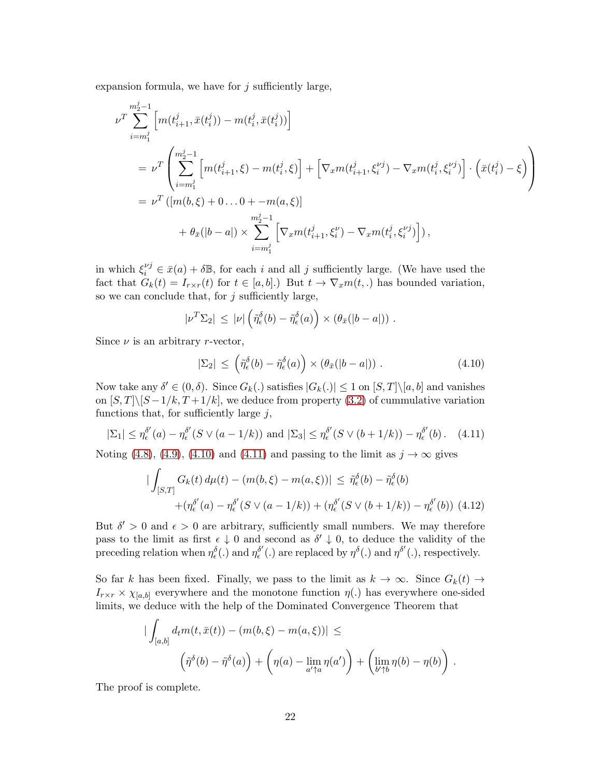expansion formula, we have for  $j$  sufficiently large,

$$
\nu^T \sum_{i=m_1^j}^{m_2^j-1} \left[ m(t_{i+1}^j, \bar{x}(t_i^j)) - m(t_i^j, \bar{x}(t_i^j)) \right]
$$
\n
$$
= \nu^T \left( \sum_{i=m_1^j}^{m_2^j-1} \left[ m(t_{i+1}^j, \xi) - m(t_i^j, \xi) \right] + \left[ \nabla_x m(t_{i+1}^j, \xi_i^{\nu_j}) - \nabla_x m(t_i^j, \xi_i^{\nu_j}) \right] \cdot \left( \bar{x}(t_i^j) - \xi \right) \right]
$$
\n
$$
= \nu^T \left( [m(b, \xi) + 0 \dots 0 + -m(a, \xi) ] \right.
$$
\n
$$
+ \theta_{\bar{x}}(|b-a|) \times \sum_{i=m_1^j}^{m_2^j-1} \left[ \nabla_x m(t_{i+1}^j, \xi_i^{\nu}) - \nabla_x m(t_i^j, \xi_i^{\nu_j}) \right],
$$

in which  $\xi_i^{\nu j} \in \bar{x}(a) + \delta \mathbb{B}$ , for each i and all j sufficiently large. (We have used the fact that  $G_k(t) = I_{r \times r}(t)$  for  $t \in [a, b]$ .) But  $t \to \nabla_x m(t,.)$  has bounded variation, so we can conclude that, for  $j$  sufficiently large,

$$
|\nu^T \Sigma_2| \leq |\nu| \left( \tilde{\eta}^{\delta}_{\epsilon}(b) - \tilde{\eta}^{\delta}_{\epsilon}(a) \right) \times \left( \theta_{\bar{x}}(|b-a|) \right) .
$$

Since  $\nu$  is an arbitrary r-vector,

<span id="page-21-0"></span>
$$
|\Sigma_2| \leq \left(\tilde{\eta}_{\epsilon}^{\delta}(b) - \tilde{\eta}_{\epsilon}^{\delta}(a)\right) \times \left(\theta_{\bar{x}}(|b-a|)\right). \tag{4.10}
$$

Now take any  $\delta' \in (0, \delta)$ . Since  $G_k(.)$  satisfies  $|G_k(.)| \leq 1$  on  $[S, T] \setminus [a, b]$  and vanishes on  $[S, T]\backslash [S-1/k, T+1/k]$ , we deduce from property [\(3.2\)](#page-8-0) of cummulative variation functions that, for sufficiently large  $j$ ,

<span id="page-21-1"></span>
$$
|\Sigma_1| \leq \eta_\epsilon^{\delta'}(a) - \eta_\epsilon^{\delta'}(S \vee (a-1/k)) \text{ and } |\Sigma_3| \leq \eta_\epsilon^{\delta'}(S \vee (b+1/k)) - \eta_\epsilon^{\delta'}(b). \quad (4.11)
$$

Noting [\(4.8\)](#page-20-0), [\(4.9\)](#page-20-1), [\(4.10\)](#page-21-0) and [\(4.11\)](#page-21-1) and passing to the limit as  $j \to \infty$  gives

$$
\begin{aligned} \left| \int_{[S,T]} G_k(t) \, d\mu(t) - (m(b,\xi) - m(a,\xi)) \right| &\leq \tilde{\eta}_{\epsilon}^{\delta}(b) - \tilde{\eta}_{\epsilon}^{\delta}(b) \\ &+ (\eta_{\epsilon}^{\delta'}(a) - \eta_{\epsilon}^{\delta'}(S \vee (a-1/k)) + (\eta_{\epsilon}^{\delta'}(S \vee (b+1/k)) - \eta_{\epsilon}^{\delta'}(b)) \tag{4.12} \end{aligned}
$$

But  $\delta' > 0$  and  $\epsilon > 0$  are arbitrary, sufficiently small numbers. We may therefore pass to the limit as first  $\epsilon \downarrow 0$  and second as  $\delta' \downarrow 0$ , to deduce the validity of the preceding relation when  $\eta_{\epsilon}^{\delta}(.)$  and  $\eta_{\epsilon}^{\delta'}$  $\delta'$ (.) are replaced by  $\eta^{\delta}$ (.) and  $\eta^{\delta'}$ (.), respectively.

So far k has been fixed. Finally, we pass to the limit as  $k \to \infty$ . Since  $G_k(t) \to$  $I_{r\times r} \times \chi_{[a,b]}$  everywhere and the monotone function  $\eta(.)$  has everywhere one-sided limits, we deduce with the help of the Dominated Convergence Theorem that

$$
\begin{aligned} \left| \int_{[a,b]} d_t m(t,\bar{x}(t)) - (m(b,\xi) - m(a,\xi)) \right| &\leq \\ \left( \tilde{\eta}^{\delta}(b) - \tilde{\eta}^{\delta}(a) \right) + \left( \eta(a) - \lim_{a' \uparrow a} \eta(a') \right) + \left( \lim_{b' \uparrow b} \eta(b) - \eta(b) \right) \, . \end{aligned}
$$

The proof is complete.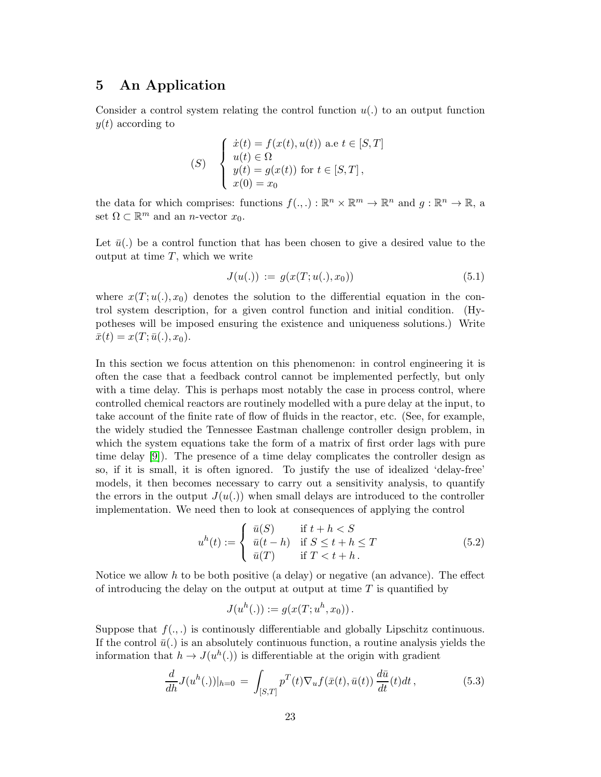## 5 An Application

Consider a control system relating the control function  $u(.)$  to an output function  $y(t)$  according to

(S) 
$$
\begin{cases}\n\dot{x}(t) = f(x(t), u(t)) \text{ a.e } t \in [S, T] \\
u(t) \in \Omega \\
y(t) = g(x(t)) \text{ for } t \in [S, T], \\
x(0) = x_0\n\end{cases}
$$

the data for which comprises: functions  $f(.,.): \mathbb{R}^n \times \mathbb{R}^m \to \mathbb{R}^n$  and  $g: \mathbb{R}^n \to \mathbb{R}$ , a set  $\Omega \subset \mathbb{R}^m$  and an *n*-vector  $x_0$ .

Let  $\bar{u}$ . be a control function that has been chosen to give a desired value to the output at time  $T$ , which we write

<span id="page-22-2"></span>
$$
J(u(.)) := g(x(T; u(.), x_0))
$$
\n(5.1)

where  $x(T; u(.), x_0)$  denotes the solution to the differential equation in the control system description, for a given control function and initial condition. (Hypotheses will be imposed ensuring the existence and uniqueness solutions.) Write  $\bar{x}(t) = x(T; \bar{u}(.), x_0).$ 

In this section we focus attention on this phenomenon: in control engineering it is often the case that a feedback control cannot be implemented perfectly, but only with a time delay. This is perhaps most notably the case in process control, where controlled chemical reactors are routinely modelled with a pure delay at the input, to take account of the finite rate of flow of fluids in the reactor, etc. (See, for example, the widely studied the Tennessee Eastman challenge controller design problem, in which the system equations take the form of a matrix of first order lags with pure time delay [\[9\]](#page-27-9)). The presence of a time delay complicates the controller design as so, if it is small, it is often ignored. To justify the use of idealized 'delay-free' models, it then becomes necessary to carry out a sensitivity analysis, to quantify the errors in the output  $J(u(.))$  when small delays are introduced to the controller implementation. We need then to look at consequences of applying the control

<span id="page-22-1"></span>
$$
u^{h}(t) := \begin{cases} \bar{u}(S) & \text{if } t + h < S \\ \bar{u}(t - h) & \text{if } S \le t + h \le T \\ \bar{u}(T) & \text{if } T < t + h \end{cases} \tag{5.2}
$$

Notice we allow h to be both positive (a delay) or negative (an advance). The effect of introducing the delay on the output at output at time  $T$  is quantified by

$$
J(u^h(.)) := g(x(T; u^h, x_0)).
$$

Suppose that  $f(.)$  is continuously differentiable and globally Lipschitz continuous. If the control  $\bar{u}$ . is an absolutely continuous function, a routine analysis yields the information that  $h \to J(u^h(.))$  is differentiable at the origin with gradient

<span id="page-22-0"></span>
$$
\frac{d}{dh}J(u^h(.))|_{h=0} = \int_{[S,T]} p^T(t)\nabla_u f(\bar{x}(t), \bar{u}(t)) \frac{d\bar{u}}{dt}(t)dt, \qquad (5.3)
$$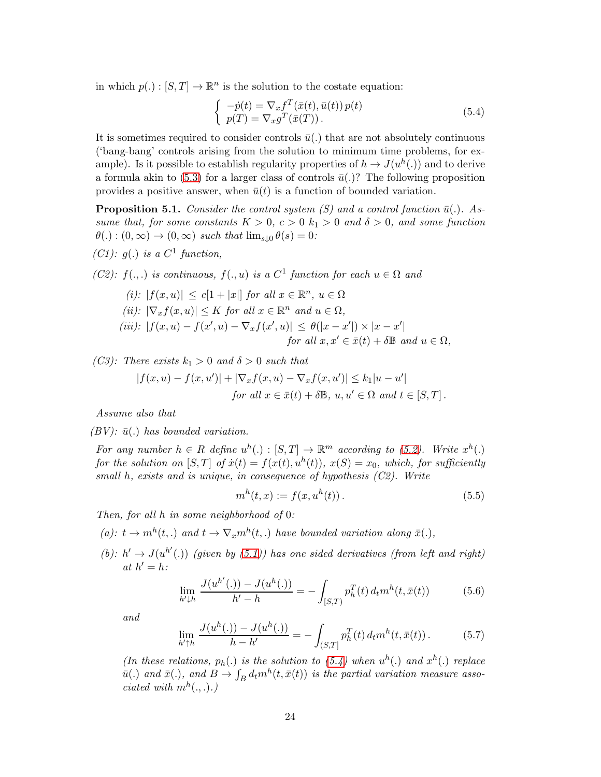in which  $p(.) : [S, T] \to \mathbb{R}^n$  is the solution to the costate equation:

<span id="page-23-0"></span>
$$
\begin{cases}\n-p(t) = \nabla_x f^T(\bar{x}(t), \bar{u}(t)) p(t) \\
p(T) = \nabla_x g^T(\bar{x}(T)).\n\end{cases}
$$
\n(5.4)

It is sometimes required to consider controls  $\bar{u}(.)$  that are not absolutely continuous ('bang-bang' controls arising from the solution to minimum time problems, for example). Is it possible to establish regularity properties of  $h \to J(u^h(.))$  and to derive a formula akin to [\(5.3\)](#page-22-0) for a larger class of controls  $\bar{u}$ .)? The following proposition provides a positive answer, when  $\bar{u}(t)$  is a function of bounded variation.

**Proposition 5.1.** Consider the control system (S) and a control function  $\bar{u}(.)$ . Assume that, for some constants  $K > 0$ ,  $c > 0$   $k_1 > 0$  and  $\delta > 0$ , and some function  $\theta(.) : (0, \infty) \rightarrow (0, \infty)$  such that  $\lim_{s \downarrow 0} \theta(s) = 0$ :

(C1):  $g(.)$  is a C<sup>1</sup> function,

(C2):  $f(.,.)$  is continuous,  $f(.,u)$  is a  $C<sup>1</sup>$  function for each  $u \in \Omega$  and

(i): 
$$
|f(x, u)| \le c[1 + |x|]
$$
 for all  $x \in \mathbb{R}^n$ ,  $u \in \Omega$   
\n(ii):  $|\nabla_x f(x, u)| \le K$  for all  $x \in \mathbb{R}^n$  and  $u \in \Omega$ ,  
\n(iii):  $|f(x, u) - f(x', u) - \nabla_x f(x', u)| \le \theta(|x - x'|) \times |x - x'|$   
\nfor all  $x, x' \in \overline{x}(t) + \delta \mathbb{B}$  and  $u \in \Omega$ ,

(C3): There exists  $k_1 > 0$  and  $\delta > 0$  such that

$$
|f(x, u) - f(x, u')| + |\nabla_x f(x, u) - \nabla_x f(x, u')| \le k_1 |u - u'|
$$
  
for all  $x \in \bar{x}(t) + \delta \mathbb{B}$ ,  $u, u' \in \Omega$  and  $t \in [S, T]$ .

Assume also that

 $(BV)$ :  $\bar{u}$ . has bounded variation.

For any number  $h \in R$  define  $u^h(.) : [S,T] \to \mathbb{R}^m$  according to [\(5.2\)](#page-22-1). Write  $x^h(.)$ for the solution on  $[S,T]$  of  $\dot{x}(t) = f(x(t), u^h(t))$ ,  $x(S) = x_0$ , which, for sufficiently small h, exists and is unique, in consequence of hypothesis  $(C2)$ . Write

$$
m^{h}(t,x) := f(x, u^{h}(t)).
$$
\n(5.5)

Then, for all h in some neighborhood of 0:

(a):  $t \to m^h(t,.)$  and  $t \to \nabla_x m^h(t,.)$  have bounded variation along  $\bar{x}(.)$ ,

(b):  $h' \rightarrow J(u^{h'}(.))$  (given by [\(5.1\)](#page-22-2)) has one sided derivatives (from left and right) at  $h' = h$ :

<span id="page-23-1"></span>
$$
\lim_{h' \downarrow h} \frac{J(u^{h'}(.)) - J(u^{h}(.))}{h' - h} = -\int_{[S,T)} p_h^T(t) d_t m^h(t, \bar{x}(t)) \tag{5.6}
$$

and

<span id="page-23-2"></span>
$$
\lim_{h' \uparrow h} \frac{J(u^h(.)) - J(u^h(.))}{h - h'} = - \int_{(S,T]} p_h^T(t) d_t m^h(t, \bar{x}(t)). \tag{5.7}
$$

(In these relations,  $p_h(.)$  is the solution to [\(5.4\)](#page-23-0) when  $u^h(.)$  and  $x^h(.)$  replace  $\bar{u}(.)$  and  $\bar{x}(.)$ , and  $B \to \int_B d_t m^h(t, \bar{x}(t))$  is the partial variation measure associated with  $m^h(.,.).$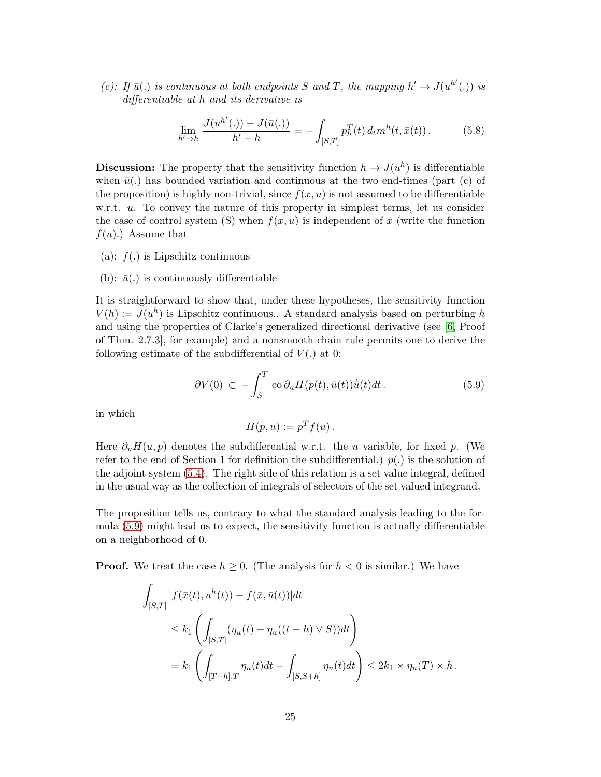(c): If  $\bar{u}$ (.) is continuous at both endpoints S and T, the mapping  $h' \to J(u^{h'}(.))$  is differentiable at h and its derivative is

<span id="page-24-1"></span>
$$
\lim_{h' \to h} \frac{J(u^{h'}(.)) - J(\bar{u}(.))}{h' - h} = - \int_{[S,T]} p_h^T(t) d_t m^h(t, \bar{x}(t)). \tag{5.8}
$$

**Discussion:** The property that the sensitivity function  $h \to J(u^h)$  is differentiable when  $\bar{u}$ (.) has bounded variation and continuous at the two end-times (part (c) of the proposition) is highly non-trivial, since  $f(x, u)$  is not assumed to be differentiable w.r.t. u. To convey the nature of this property in simplest terms, let us consider the case of control system (S) when  $f(x, u)$  is independent of x (write the function  $f(u)$ .) Assume that

- (a):  $f(.)$  is Lipschitz continuous
- (b):  $\bar{u}$ . is continuously differentiable

It is straightforward to show that, under these hypotheses, the sensitivity function  $V(h) := J(u^h)$  is Lipschitz continuous.. A standard analysis based on perturbing h and using the properties of Clarke's generalized directional derivative (see [\[6,](#page-27-1) Proof of Thm. 2.7.3], for example) and a nonsmooth chain rule permits one to derive the following estimate of the subdifferential of  $V(.)$  at 0:

<span id="page-24-0"></span>
$$
\partial V(0) \, \subset \, -\int_{S}^{T} \, \cos \partial_{u} H(p(t), \bar{u}(t)) \dot{\bar{u}}(t) dt \,. \tag{5.9}
$$

in which

$$
H(p, u) := pT f(u) .
$$

Here  $\partial_u H(u, p)$  denotes the subdifferential w.r.t. the u variable, for fixed p. (We refer to the end of Section 1 for definition the subdifferential.)  $p(.)$  is the solution of the adjoint system [\(5.4\)](#page-23-0). The right side of this relation is a set value integral, defined in the usual way as the collection of integrals of selectors of the set valued integrand.

The proposition tells us, contrary to what the standard analysis leading to the formula [\(5.9\)](#page-24-0) might lead us to expect, the sensitivity function is actually differentiable on a neighborhood of 0.

**Proof.** We treat the case  $h \geq 0$ . (The analysis for  $h < 0$  is similar.) We have

$$
\int_{[S,T]} |f(\bar{x}(t), u^h(t)) - f(\bar{x}, \bar{u}(t))| dt
$$
\n
$$
\leq k_1 \left( \int_{[S,T]} (\eta_{\bar{u}}(t) - \eta_{\bar{u}}((t-h) \vee S)) dt \right)
$$
\n
$$
= k_1 \left( \int_{[T-h],T} \eta_{\bar{u}}(t) dt - \int_{[S,S+h]} \eta_{\bar{u}}(t) dt \right) \leq 2k_1 \times \eta_{\bar{u}}(T) \times h.
$$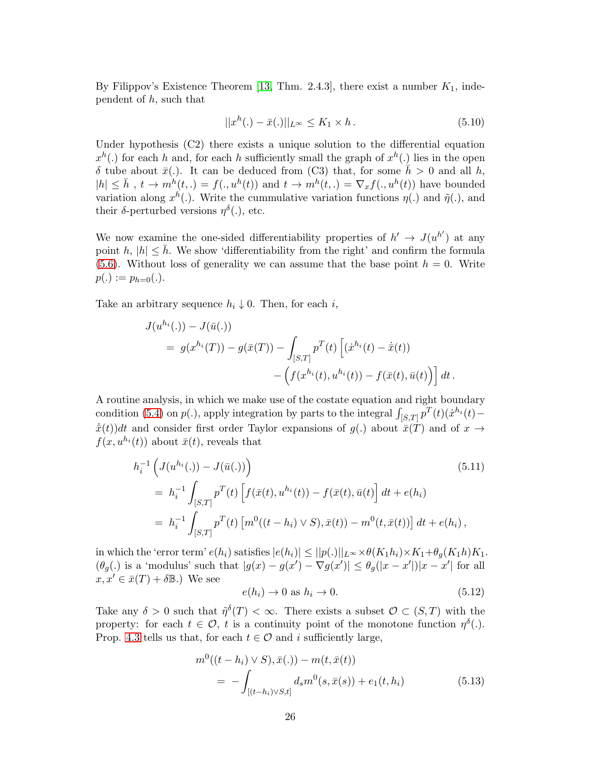By Filippov's Existence Theorem [\[13,](#page-28-0) Thm. 2.4.3], there exist a number  $K_1$ , independent of  $h$ , such that

$$
||x^h(.) - \bar{x}(.)||_{L^{\infty}} \le K_1 \times h.
$$
\n(5.10)

Under hypothesis (C2) there exists a unique solution to the differential equation  $x^h(.)$  for each h and, for each h sufficiently small the graph of  $x^h(.)$  lies in the open δ tube about  $\bar{x}$ (.). It can be deduced from (C3) that, for some  $\bar{h} > 0$  and all h,  $|h| \leq \bar{h}$ ,  $t \to m^{\bar{h}}(t,.) = f(., u^h(t))$  and  $t \to m^h(t,.) = \nabla_x f(., u^h(t))$  have bounded variation along  $x^h(.)$ . Write the cummulative variation functions  $\eta(.)$  and  $\tilde{\eta}(.)$ , and their  $\delta$ -perturbed versions  $\eta^{\delta}$ ., etc.

We now examine the one-sided differentiability properties of  $h' \rightarrow J(u^{h'})$  at any point h,  $|h| \leq \bar{h}$ . We show 'differentiability from the right' and confirm the formula [\(5.6\)](#page-23-1). Without loss of generality we can assume that the base point  $h = 0$ . Write  $p(.) := p_{h=0}(.)$ .

Take an arbitrary sequence  $h_i \downarrow 0$ . Then, for each i,

$$
J(u^{h_i}(.)) - J(\bar{u}(.))
$$
  
=  $g(x^{h_i}(T)) - g(\bar{x}(T)) - \int_{[S,T]} p^T(t) \left[ (\dot{x}^{h_i}(t) - \dot{\bar{x}}(t)) - \left( f(x^{h_i}(t), u^{h_i}(t)) - f(\bar{x}(t), \bar{u}(t)) \right) \right] dt.$ 

A routine analysis, in which we make use of the costate equation and right boundary condition [\(5.4\)](#page-23-0) on  $p(.)$ , apply integration by parts to the integral  $\int_{[S,T]} p^T(t)(\dot{x}^{h_i}(t) \dot{\bar{x}}(t)$  and consider first order Taylor expansions of  $g(.)$  about  $\bar{x}(T)$  and of  $x \rightarrow$  $f(x, u^{h_i}(t))$  about  $\bar{x}(t)$ , reveals that

<span id="page-25-0"></span>
$$
h_i^{-1} \left( J(u^{h_i}(.)) - J(\bar{u}(.)) \right)
$$
\n
$$
= h_i^{-1} \int_{[S,T]} p^T(t) \left[ f(\bar{x}(t), u^{h_i}(t)) - f(\bar{x}(t), \bar{u}(t) \right] dt + e(h_i)
$$
\n
$$
= h_i^{-1} \int_{[S,T]} p^T(t) \left[ m^0((t - h_i) \vee S), \bar{x}(t)) - m^0(t, \bar{x}(t)) \right] dt + e(h_i),
$$
\n(5.11)

in which the 'error term'  $e(h_i)$  satisfies  $|e(h_i)| \leq ||p(.)||_{L^{\infty}} \times \theta(K_1 h_i) \times K_1 + \theta_g(K_1 h) K_1$ .  $(\theta_g)$  is a 'modulus' such that  $|g(x) - g(x') - \nabla g(x')| \leq \theta_g(|x - x'|)|x - x'|$  for all  $x, x' \in \bar{x}(T) + \delta \mathbb{B}$ .) We see

$$
e(h_i) \to 0 \text{ as } h_i \to 0. \tag{5.12}
$$

Take any  $\delta > 0$  such that  $\tilde{\eta}^{\delta}(T) < \infty$ . There exists a subset  $\mathcal{O} \subset (S,T)$  with the property: for each  $t \in \mathcal{O}$ , t is a continuity point of the monotone function  $\eta^{\delta}(.)$ . Prop. [4.3](#page-19-1) tells us that, for each  $t \in \mathcal{O}$  and i sufficiently large,

$$
m^{0}((t - h_{i}) \vee S), \bar{x}(.) - m(t, \bar{x}(t))
$$
  
= 
$$
-\int_{[(t - h_{i}) \vee S, t]} d_{s} m^{0}(s, \bar{x}(s)) + e_{1}(t, h_{i})
$$
(5.13)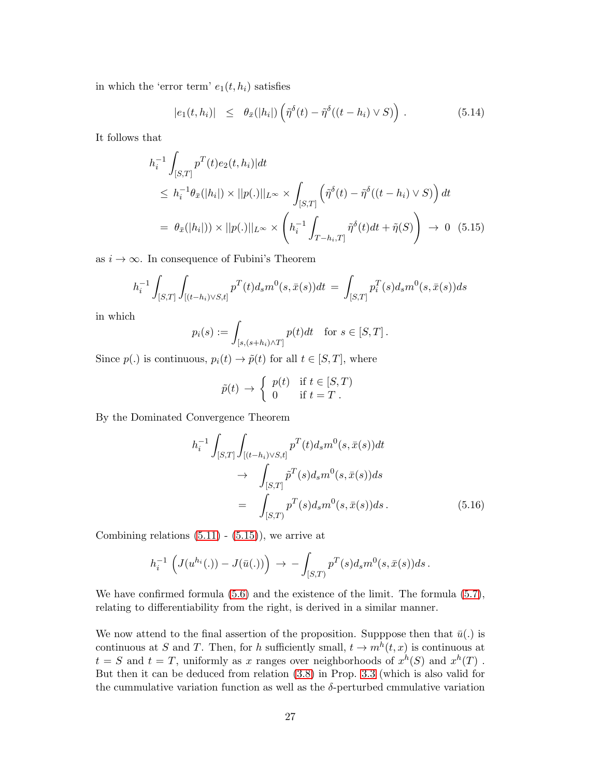in which the 'error term'  $e_1(t, h_i)$  satisfies

$$
|e_1(t, h_i)| \leq \theta_{\bar{x}}(|h_i|) \left( \tilde{\eta}^{\delta}(t) - \tilde{\eta}^{\delta}((t - h_i) \vee S) \right).
$$
 (5.14)

It follows that

<span id="page-26-0"></span>
$$
h_i^{-1} \int_{[S,T]} p^T(t)e_2(t, h_i)|dt
$$
  
\n
$$
\leq h_i^{-1} \theta_{\bar{x}}(|h_i|) \times ||p(.)||_{L^{\infty}} \times \int_{[S,T]} \left( \tilde{\eta}^{\delta}(t) - \tilde{\eta}^{\delta}((t - h_i) \vee S) \right) dt
$$
  
\n
$$
= \theta_{\bar{x}}(|h_i|) \times ||p(.)||_{L^{\infty}} \times \left( h_i^{-1} \int_{T - h_i, T]} \tilde{\eta}^{\delta}(t) dt + \tilde{\eta}(S) \right) \to 0 \quad (5.15)
$$

as  $i \to \infty$ . In consequence of Fubini's Theorem

$$
h_i^{-1} \int_{[S,T]} \int_{[(t-h_i)\vee S,t]} p^T(t) d_s m^0(s,\bar{x}(s)) dt = \int_{[S,T]} p_i^T(s) d_s m^0(s,\bar{x}(s)) ds
$$

in which

$$
p_i(s) := \int_{[s,(s+h_i)\wedge T]} p(t)dt \quad \text{for } s \in [S,T].
$$

Since  $p(.)$  is continuous,  $p_i(t) \to \tilde{p}(t)$  for all  $t \in [S, T]$ , where

$$
\tilde{p}(t) \to \begin{cases} p(t) & \text{if } t \in [S, T) \\ 0 & \text{if } t = T \end{cases}
$$

By the Dominated Convergence Theorem

$$
h_{i}^{-1} \int_{[S,T]} \int_{[(t-h_{i})\vee S,t]} p^{T}(t) d_{s} m^{0}(s, \bar{x}(s)) dt
$$
  
\n
$$
\rightarrow \int_{[S,T]} \tilde{p}^{T}(s) d_{s} m^{0}(s, \bar{x}(s)) ds
$$
  
\n
$$
= \int_{[S,T]} p^{T}(s) d_{s} m^{0}(s, \bar{x}(s)) ds.
$$
 (5.16)

Combining relations  $(5.11) - (5.15)$  $(5.11) - (5.15)$ , we arrive at

$$
h_i^{-1} \left( J(u^{h_i}(.)) - J(\bar{u}(.)) \right) \to - \int_{[S,T)} p^T(s) d_s m^0(s, \bar{x}(s)) ds.
$$

We have confirmed formula  $(5.6)$  and the existence of the limit. The formula  $(5.7)$ , relating to differentiability from the right, is derived in a similar manner.

We now attend to the final assertion of the proposition. Supppose then that  $\bar{u}(.)$  is continuous at S and T. Then, for h sufficiently small,  $t \to m^h(t, x)$  is continuous at  $t = S$  and  $t = T$ , uniformly as x ranges over neighborhoods of  $x^h(S)$  and  $x^h(T)$ . But then it can be deduced from relation [\(3.8\)](#page-9-3) in Prop. [3.3](#page-9-4) (which is also valid for the cummulative variation function as well as the  $\delta$ -perturbed cmmulative variation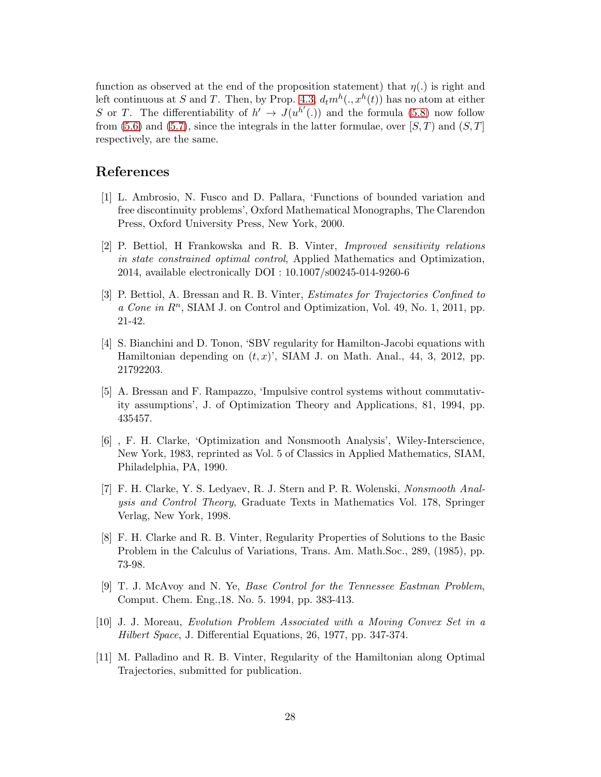function as observed at the end of the proposition statement) that  $\eta(.)$  is right and left continuous at S and T. Then, by Prop. [4.3,](#page-19-1)  $d_t m^h(., x^h(t))$  has no atom at either S or T. The differentiability of  $h' \to J(u^{h'}(.))$  and the formula [\(5.8\)](#page-24-1) now follow from [\(5.6\)](#page-23-1) and [\(5.7\)](#page-23-2), since the integrals in the latter formulae, over  $[S, T]$  and  $(S, T]$ respectively, are the same.

## <span id="page-27-5"></span>References

- [1] L. Ambrosio, N. Fusco and D. Pallara, 'Functions of bounded variation and free discontinuity problems', Oxford Mathematical Monographs, The Clarendon Press, Oxford University Press, New York, 2000.
- <span id="page-27-3"></span>[2] P. Bettiol, H Frankowska and R. B. Vinter, Improved sensitivity relations in state constrained optimal control, Applied Mathematics and Optimization, 2014, available electronically DOI : 10.1007/s00245-014-9260-6
- <span id="page-27-2"></span>[3] P. Bettiol, A. Bressan and R. B. Vinter, Estimates for Trajectories Confined to  $a$  Cone in  $R<sup>n</sup>$ , SIAM J. on Control and Optimization, Vol. 49, No. 1, 2011, pp. 21-42.
- <span id="page-27-6"></span>[4] S. Bianchini and D. Tonon, 'SBV regularity for Hamilton-Jacobi equations with Hamiltonian depending on  $(t, x)$ ', SIAM J. on Math. Anal., 44, 3, 2012, pp. 21792203.
- [5] A. Bressan and F. Rampazzo, 'Impulsive control systems without commutativity assumptions', J. of Optimization Theory and Applications, 81, 1994, pp. 435457.
- <span id="page-27-1"></span>[6] , F. H. Clarke, 'Optimization and Nonsmooth Analysis', Wiley-Interscience, New York, 1983, reprinted as Vol. 5 of Classics in Applied Mathematics, SIAM, Philadelphia, PA, 1990.
- <span id="page-27-8"></span>[7] F. H. Clarke, Y. S. Ledyaev, R. J. Stern and P. R. Wolenski, Nonsmooth Analysis and Control Theory, Graduate Texts in Mathematics Vol. 178, Springer Verlag, New York, 1998.
- <span id="page-27-0"></span>[8] F. H. Clarke and R. B. Vinter, Regularity Properties of Solutions to the Basic Problem in the Calculus of Variations, Trans. Am. Math.Soc., 289, (1985), pp. 73-98.
- <span id="page-27-9"></span>[9] T. J. McAvoy and N. Ye, Base Control for the Tennessee Eastman Problem, Comput. Chem. Eng.,18. No. 5. 1994, pp. 383-413.
- <span id="page-27-7"></span>[10] J. J. Moreau, Evolution Problem Associated with a Moving Convex Set in a Hilbert Space, J. Differential Equations, 26, 1977, pp. 347-374.
- <span id="page-27-4"></span>[11] M. Palladino and R. B. Vinter, Regularity of the Hamiltonian along Optimal Trajectories, submitted for publication.